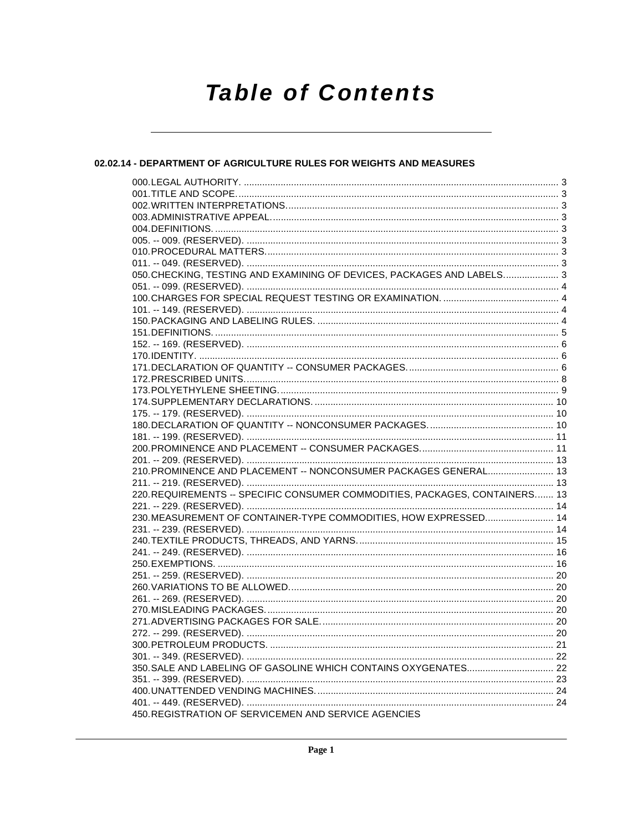# **Table of Contents**

### 02.02.14 - DEPARTMENT OF AGRICULTURE RULES FOR WEIGHTS AND MEASURES

| 050. CHECKING, TESTING AND EXAMINING OF DEVICES, PACKAGES AND LABELS 3      |  |
|-----------------------------------------------------------------------------|--|
|                                                                             |  |
|                                                                             |  |
|                                                                             |  |
|                                                                             |  |
|                                                                             |  |
|                                                                             |  |
|                                                                             |  |
|                                                                             |  |
|                                                                             |  |
|                                                                             |  |
|                                                                             |  |
|                                                                             |  |
|                                                                             |  |
|                                                                             |  |
|                                                                             |  |
|                                                                             |  |
| 210. PROMINENCE AND PLACEMENT -- NONCONSUMER PACKAGES GENERAL 13            |  |
|                                                                             |  |
| 220. REQUIREMENTS -- SPECIFIC CONSUMER COMMODITIES, PACKAGES, CONTAINERS 13 |  |
|                                                                             |  |
| 230. MEASUREMENT OF CONTAINER-TYPE COMMODITIES, HOW EXPRESSED 14            |  |
|                                                                             |  |
|                                                                             |  |
|                                                                             |  |
|                                                                             |  |
|                                                                             |  |
|                                                                             |  |
|                                                                             |  |
|                                                                             |  |
|                                                                             |  |
|                                                                             |  |
|                                                                             |  |
|                                                                             |  |
|                                                                             |  |
|                                                                             |  |
|                                                                             |  |
| 450. REGISTRATION OF SERVICEMEN AND SERVICE AGENCIES                        |  |
|                                                                             |  |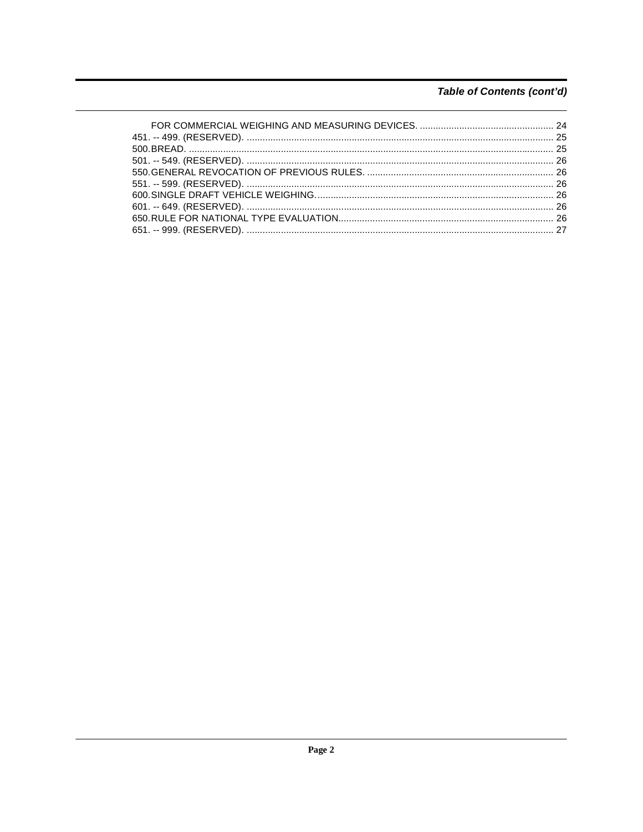### Table of Contents (cont'd)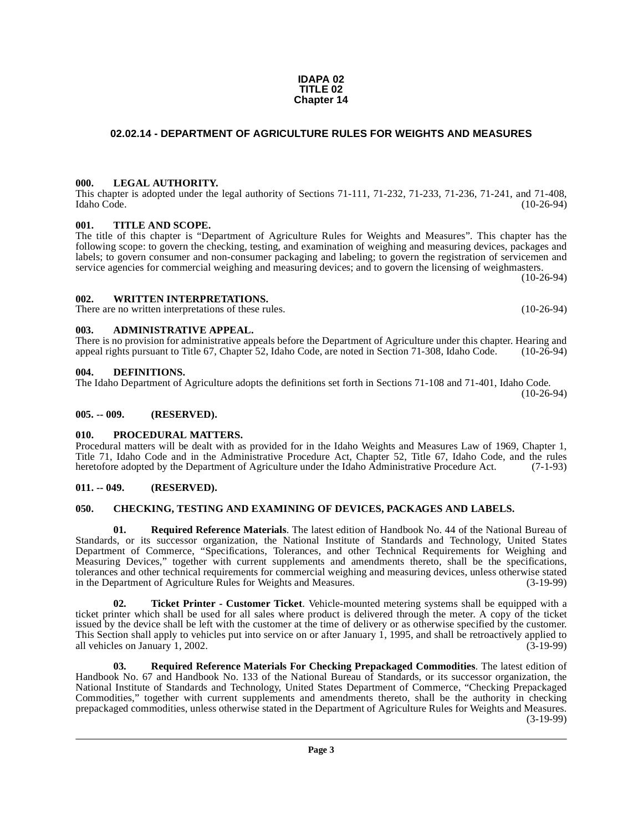#### **Page 3**

#### **IDAPA 02 TITLE 02 Chapter 14**

### <span id="page-2-0"></span>**02.02.14 - DEPARTMENT OF AGRICULTURE RULES FOR WEIGHTS AND MEASURES**

### <span id="page-2-1"></span>**000. LEGAL AUTHORITY.**

This chapter is adopted under the legal authority of Sections 71-111, 71-232, 71-233, 71-236, 71-241, and 71-408, Idaho Code. (10-26-94)

### <span id="page-2-2"></span>**001. TITLE AND SCOPE.**

The title of this chapter is "Department of Agriculture Rules for Weights and Measures". This chapter has the following scope: to govern the checking, testing, and examination of weighing and measuring devices, packages and labels; to govern consumer and non-consumer packaging and labeling; to govern the registration of servicemen and service agencies for commercial weighing and measuring devices; and to govern the licensing of weighmasters.

(10-26-94)

### <span id="page-2-3"></span>**002. WRITTEN INTERPRETATIONS.**

There are no written interpretations of these rules. (10-26-94)

#### <span id="page-2-4"></span>**003. ADMINISTRATIVE APPEAL.**

#### There is no provision for administrative appeals before the Department of Agriculture under this chapter. Hearing and appeal rights pursuant to Title 67, Chapter 52, Idaho Code, are noted in Section 71-308, Idaho Code. (10-26-94)

#### <span id="page-2-11"></span><span id="page-2-5"></span>**004. DEFINITIONS.**

The Idaho Department of Agriculture adopts the definitions set forth in Sections 71-108 and 71-401, Idaho Code.

#### <span id="page-2-6"></span>**005. -- 009. (RESERVED).**

### <span id="page-2-12"></span><span id="page-2-7"></span>**010. PROCEDURAL MATTERS.**

Procedural matters will be dealt with as provided for in the Idaho Weights and Measures Law of 1969, Chapter 1, Title 71, Idaho Code and in the Administrative Procedure Act, Chapter 52, Title 67, Idaho Code, and the rules heretofore adopted by the Department of Agriculture under the Idaho Administrative Procedure Act. (7-1-93) heretofore adopted by the Department of Agriculture under the Idaho Administrative Procedure Act.

### <span id="page-2-8"></span>**011. -- 049. (RESERVED).**

### <span id="page-2-10"></span><span id="page-2-9"></span>**050. CHECKING, TESTING AND EXAMINING OF DEVICES, PACKAGES AND LABELS.**

<span id="page-2-13"></span>**01. Required Reference Materials**. The latest edition of Handbook No. 44 of the National Bureau of Standards, or its successor organization, the National Institute of Standards and Technology, United States Department of Commerce, "Specifications, Tolerances, and other Technical Requirements for Weighing and Measuring Devices," together with current supplements and amendments thereto, shall be the specifications, tolerances and other technical requirements for commercial weighing and measuring devices, unless otherwise stated<br>in the Department of Agriculture Rules for Weights and Measures. (3-19-99) in the Department of Agriculture Rules for Weights and Measures.

<span id="page-2-15"></span>**02. Ticket Printer - Customer Ticket**. Vehicle-mounted metering systems shall be equipped with a ticket printer which shall be used for all sales where product is delivered through the meter. A copy of the ticket issued by the device shall be left with the customer at the time of delivery or as otherwise specified by the customer. This Section shall apply to vehicles put into service on or after January 1, 1995, and shall be retroactively applied to all vehicles on January 1, 2002. all vehicles on January 1, 2002.

<span id="page-2-14"></span>**03. Required Reference Materials For Checking Prepackaged Commodities**. The latest edition of Handbook No. 67 and Handbook No. 133 of the National Bureau of Standards, or its successor organization, the National Institute of Standards and Technology, United States Department of Commerce, "Checking Prepackaged Commodities," together with current supplements and amendments thereto, shall be the authority in checking prepackaged commodities, unless otherwise stated in the Department of Agriculture Rules for Weights and Measures. (3-19-99)

(10-26-94)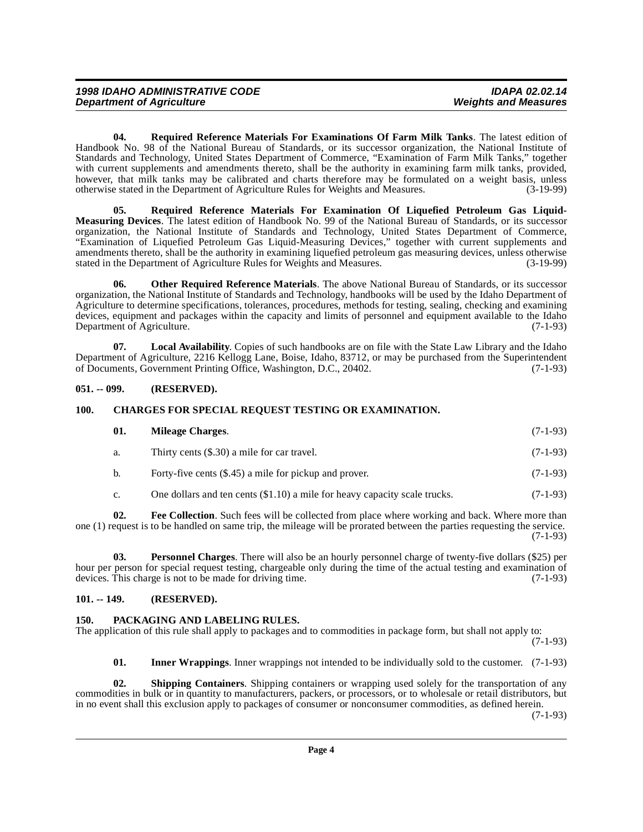<span id="page-3-13"></span>**04. Required Reference Materials For Examinations Of Farm Milk Tanks**. The latest edition of Handbook No. 98 of the National Bureau of Standards, or its successor organization, the National Institute of Standards and Technology, United States Department of Commerce, "Examination of Farm Milk Tanks," together with current supplements and amendments thereto, shall be the authority in examining farm milk tanks, provided, however, that milk tanks may be calibrated and charts therefore may be formulated on a weight basis, unless otherwise stated in the Department of Agriculture Rules for Weights and Measures. (3-19-99) otherwise stated in the Department of Agriculture Rules for Weights and Measures.

<span id="page-3-12"></span>**05. Required Reference Materials For Examination Of Liquefied Petroleum Gas Liquid-Measuring Devices**. The latest edition of Handbook No. 99 of the National Bureau of Standards, or its successor organization, the National Institute of Standards and Technology, United States Department of Commerce, "Examination of Liquefied Petroleum Gas Liquid-Measuring Devices," together with current supplements and amendments thereto, shall be the authority in examining liquefied petroleum gas measuring devices, unless otherwise stated in the Department of Agriculture Rules for Weights and Measures. (3-19-99)

<span id="page-3-9"></span>**06. Other Required Reference Materials**. The above National Bureau of Standards, or its successor organization, the National Institute of Standards and Technology, handbooks will be used by the Idaho Department of Agriculture to determine specifications, tolerances, procedures, methods for testing, sealing, checking and examining devices, equipment and packages within the capacity and limits of personnel and equipment available to the Idaho Department of Agriculture. (7-1-93)

<span id="page-3-7"></span>**07. Local Availability**. Copies of such handbooks are on file with the State Law Library and the Idaho Department of Agriculture, 2216 Kellogg Lane, Boise, Idaho, 83712, or may be purchased from the Superintendent of Documents, Government Printing Office, Washington, D.C., 20402.

### <span id="page-3-0"></span>**051. -- 099. (RESERVED).**

### <span id="page-3-1"></span>**100. CHARGES FOR SPECIAL REQUEST TESTING OR EXAMINATION.**

<span id="page-3-8"></span><span id="page-3-4"></span>

| 01. | Mileage Charges.                                       | $(7-1-93)$ |
|-----|--------------------------------------------------------|------------|
| а.  | Thirty cents (\$.30) a mile for car travel.            | $(7-1-93)$ |
| b.  | Forty-five cents (\$.45) a mile for pickup and prover. | $(7-1-93)$ |

<span id="page-3-11"></span><span id="page-3-5"></span>c. One dollars and ten cents  $(\$1.10)$  a mile for heavy capacity scale trucks.  $(7-1-93)$ 

**02. Fee Collection**. Such fees will be collected from place where working and back. Where more than one (1) request is to be handled on same trip, the mileage will be prorated between the parties requesting the service. (7-1-93)

**03. Personnel Charges**. There will also be an hourly personnel charge of twenty-five dollars (\$25) per hour per person for special request testing, chargeable only during the time of the actual testing and examination of devices. This charge is not to be made for driving time. (7-1-93) devices. This charge is not to be made for driving time.

### <span id="page-3-2"></span>**101. -- 149. (RESERVED).**

### <span id="page-3-10"></span><span id="page-3-3"></span>**150. PACKAGING AND LABELING RULES.**

The application of this rule shall apply to packages and to commodities in package form, but shall not apply to:

(7-1-93)

<span id="page-3-14"></span><span id="page-3-6"></span>**01. Inner Wrappings**. Inner wrappings not intended to be individually sold to the customer. (7-1-93)

**02. Shipping Containers**. Shipping containers or wrapping used solely for the transportation of any commodities in bulk or in quantity to manufacturers, packers, or processors, or to wholesale or retail distributors, but in no event shall this exclusion apply to packages of consumer or nonconsumer commodities, as defined herein.

(7-1-93)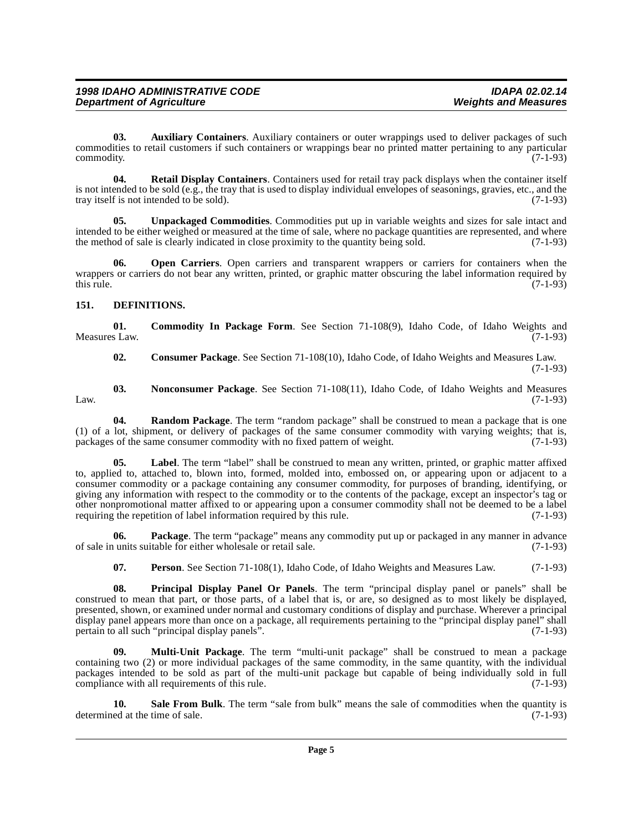<span id="page-4-1"></span>**03. Auxiliary Containers**. Auxiliary containers or outer wrappings used to deliver packages of such commodities to retail customers if such containers or wrappings bear no printed matter pertaining to any particular commodity. (7-1-93)

<span id="page-4-13"></span>**04. Retail Display Containers**. Containers used for retail tray pack displays when the container itself is not intended to be sold (e.g., the tray that is used to display individual envelopes of seasonings, gravies, etc., and the tray itself is not intended to be sold). (7-1-93)

<span id="page-4-15"></span>**05. Unpackaged Commodities**. Commodities put up in variable weights and sizes for sale intact and intended to be either weighed or measured at the time of sale, where no package quantities are represented, and where the method of sale is clearly indicated in close proximity to the quantity being sold. (7-1-93) the method of sale is clearly indicated in close proximity to the quantity being sold.

<span id="page-4-8"></span>**06. Open Carriers**. Open carriers and transparent wrappers or carriers for containers when the wrappers or carriers do not bear any written, printed, or graphic matter obscuring the label information required by this rule. (7-1-93) this rule.  $(7-1-93)$ 

### <span id="page-4-4"></span><span id="page-4-0"></span>**151. DEFINITIONS.**

**01.** Commodity In Package Form. See Section 71-108(9), Idaho Code, of Idaho Weights and s Law. (7-1-93) Measures Law.

<span id="page-4-12"></span><span id="page-4-7"></span><span id="page-4-3"></span><span id="page-4-2"></span>**02. Consumer Package**. See Section 71-108(10), Idaho Code, of Idaho Weights and Measures Law.

(7-1-93)

**03. Nonconsumer Package**. See Section 71-108(11), Idaho Code, of Idaho Weights and Measures Law.  $(7-1-93)$ 

**04. Random Package**. The term "random package" shall be construed to mean a package that is one (1) of a lot, shipment, or delivery of packages of the same consumer commodity with varying weights; that is, packages of the same consumer commodity with no fixed pattern of weight.  $(7-1-93)$ packages of the same consumer commodity with no fixed pattern of weight.

<span id="page-4-5"></span>Label. The term "label" shall be construed to mean any written, printed, or graphic matter affixed to, applied to, attached to, blown into, formed, molded into, embossed on, or appearing upon or adjacent to a consumer commodity or a package containing any consumer commodity, for purposes of branding, identifying, or giving any information with respect to the commodity or to the contents of the package, except an inspector's tag or other nonpromotional matter affixed to or appearing upon a consumer commodity shall not be deemed to be a label requiring the repetition of label information required by this rule. (7-1-93)

**06. Package**. The term "package" means any commodity put up or packaged in any manner in advance of sale in units suitable for either wholesale or retail sale. (7-1-93)

<span id="page-4-11"></span><span id="page-4-10"></span><span id="page-4-9"></span>**07. Person**. See Section 71-108(1), Idaho Code, of Idaho Weights and Measures Law. (7-1-93)

**08. Principal Display Panel Or Panels**. The term "principal display panel or panels" shall be construed to mean that part, or those parts, of a label that is, or are, so designed as to most likely be displayed, presented, shown, or examined under normal and customary conditions of display and purchase. Wherever a principal display panel appears more than once on a package, all requirements pertaining to the "principal display panel" shall<br>pertain to all such "principal display panels". (7-1-93) pertain to all such "principal display panels".

<span id="page-4-6"></span>**09. Multi-Unit Package**. The term "multi-unit package" shall be construed to mean a package containing two (2) or more individual packages of the same commodity, in the same quantity, with the individual packages intended to be sold as part of the multi-unit package but capable of being individually sold in full compliance with all requirements of this rule. (7-1-93)

<span id="page-4-14"></span>**10.** Sale From Bulk. The term "sale from bulk" means the sale of commodities when the quantity is ed at the time of sale. (7-1-93) determined at the time of sale.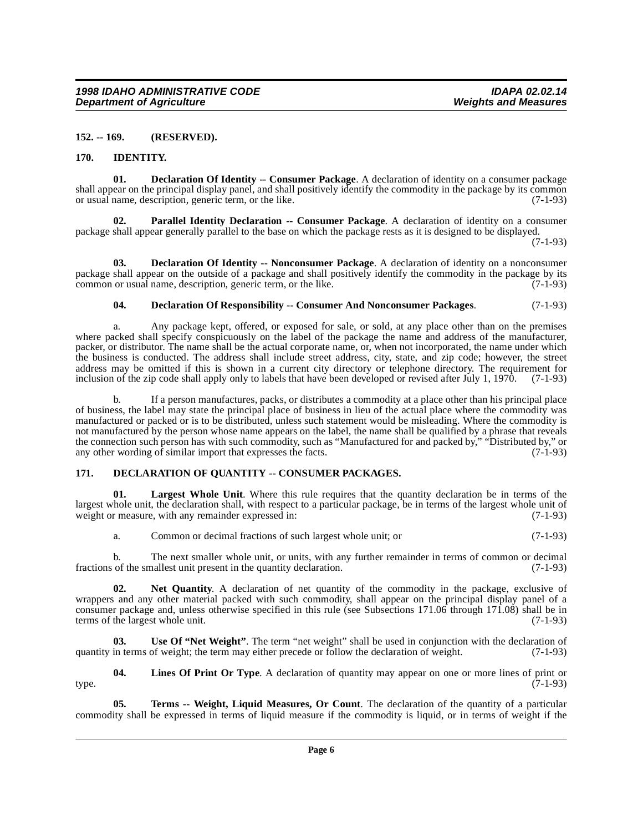### <span id="page-5-0"></span>**152. -- 169. (RESERVED).**

#### <span id="page-5-7"></span><span id="page-5-3"></span><span id="page-5-1"></span>**170. IDENTITY.**

**01. Declaration Of Identity -- Consumer Package**. A declaration of identity on a consumer package shall appear on the principal display panel, and shall positively identify the commodity in the package by its common or usual name, description, generic term, or the like. (7-1-93)

<span id="page-5-11"></span>**Parallel Identity Declaration -- Consumer Package.** A declaration of identity on a consumer package shall appear generally parallel to the base on which the package rests as it is designed to be displayed.

(7-1-93)

**03. Declaration Of Identity -- Nonconsumer Package**. A declaration of identity on a nonconsumer package shall appear on the outside of a package and shall positively identify the commodity in the package by its common or usual name, description, generic term, or the like. (7-1-93)

### <span id="page-5-6"></span><span id="page-5-4"></span>**04. Declaration Of Responsibility -- Consumer And Nonconsumer Packages**. (7-1-93)

a. Any package kept, offered, or exposed for sale, or sold, at any place other than on the premises where packed shall specify conspicuously on the label of the package the name and address of the manufacturer, packer, or distributor. The name shall be the actual corporate name, or, when not incorporated, the name under which the business is conducted. The address shall include street address, city, state, and zip code; however, the street address may be omitted if this is shown in a current city directory or telephone directory. The requirement for inclusion of the zip code shall apply only to labels that have been developed or revised after July 1, 1970. (7-1-93)

b. If a person manufactures, packs, or distributes a commodity at a place other than his principal place of business, the label may state the principal place of business in lieu of the actual place where the commodity was manufactured or packed or is to be distributed, unless such statement would be misleading. Where the commodity is not manufactured by the person whose name appears on the label, the name shall be qualified by a phrase that reveals the connection such person has with such commodity, such as "Manufactured for and packed by," "Distributed by," or<br>(7-1-93) (7-1-93) any other wording of similar import that expresses the facts.

### <span id="page-5-5"></span><span id="page-5-2"></span>**171. DECLARATION OF QUANTITY -- CONSUMER PACKAGES.**

**01. Largest Whole Unit**. Where this rule requires that the quantity declaration be in terms of the largest whole unit, the declaration shall, with respect to a particular package, be in terms of the largest whole unit of weight or measure, with any remainder expressed in: (7-1-93)

<span id="page-5-10"></span><span id="page-5-8"></span>a. Common or decimal fractions of such largest whole unit; or (7-1-93)

b. The next smaller whole unit, or units, with any further remainder in terms of common or decimal fractions of the smallest unit present in the quantity declaration. (7-1-93)

**02. Net Quantity**. A declaration of net quantity of the commodity in the package, exclusive of wrappers and any other material packed with such commodity, shall appear on the principal display panel of a consumer package and, unless otherwise specified in this rule (see Subsections 171.06 through 171.08) shall be in terms of the largest whole unit. (7-1-93)

<span id="page-5-13"></span>**03.** Use Of "Net Weight". The term "net weight" shall be used in conjunction with the declaration of in terms of weight; the term may either precede or follow the declaration of weight. (7-1-93) quantity in terms of weight; the term may either precede or follow the declaration of weight.

<span id="page-5-9"></span>**04.** Lines Of Print Or Type. A declaration of quantity may appear on one or more lines of print or  $(7-1-93)$ type. (7-1-93)

<span id="page-5-12"></span>**05. Terms -- Weight, Liquid Measures, Or Count**. The declaration of the quantity of a particular commodity shall be expressed in terms of liquid measure if the commodity is liquid, or in terms of weight if the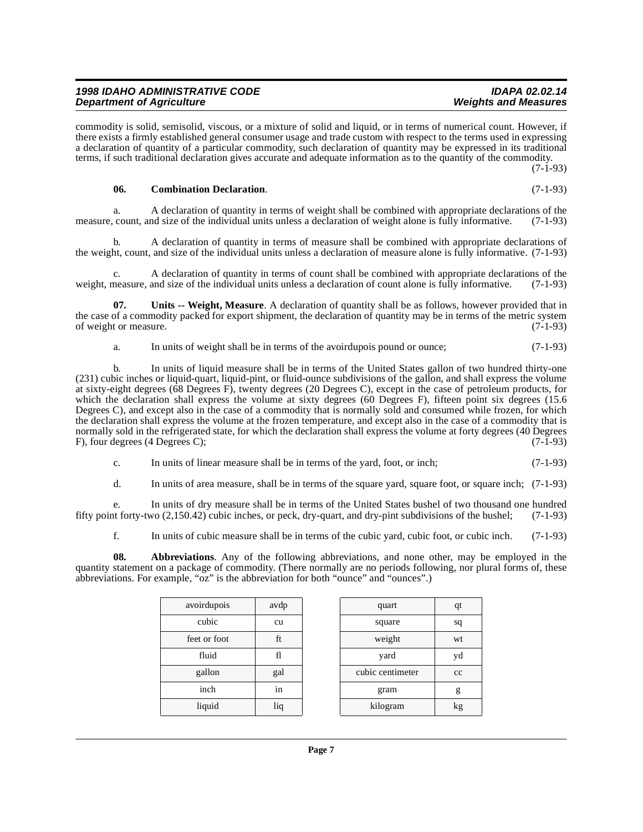### b. A declaration of quantity in terms of measure shall be combined with appropriate declarations of the weight, count, and size of the individual units unless a declaration of measure alone is fully informative. (7-1-93)

c. A declaration of quantity in terms of count shall be combined with appropriate declarations of the weight, measure, and size of the individual units unless a declaration of count alone is fully informative. (7-1-93)

measure, count, and size of the individual units unless a declaration of weight alone is fully informative. (7-1-93)

commodity is solid, semisolid, viscous, or a mixture of solid and liquid, or in terms of numerical count. However, if there exists a firmly established general consumer usage and trade custom with respect to the terms used in expressing a declaration of quantity of a particular commodity, such declaration of quantity may be expressed in its traditional terms, if such traditional declaration gives accurate and adequate information as to the quantity of the commodity.

**07. Units -- Weight, Measure**. A declaration of quantity shall be as follows, however provided that in the case of a commodity packed for export shipment, the declaration of quantity may be in terms of the metric system of weight or measure. (7-1-93)

<span id="page-6-2"></span>a. In units of weight shall be in terms of the avoirdupois pound or ounce; (7-1-93)

a. A declaration of quantity in terms of weight shall be combined with appropriate declarations of the

b. In units of liquid measure shall be in terms of the United States gallon of two hundred thirty-one (231) cubic inches or liquid-quart, liquid-pint, or fluid-ounce subdivisions of the gallon, and shall express the volume at sixty-eight degrees (68 Degrees F), twenty degrees (20 Degrees C), except in the case of petroleum products, for which the declaration shall express the volume at sixty degrees (60 Degrees F), fifteen point six degrees (15.6) Degrees C), and except also in the case of a commodity that is normally sold and consumed while frozen, for which the declaration shall express the volume at the frozen temperature, and except also in the case of a commodity that is normally sold in the refrigerated state, for which the declaration shall express the volume at forty degrees (40 Degrees F). four degrees (4 Degrees C): F), four degrees (4 Degrees C);

- c. In units of linear measure shall be in terms of the yard, foot, or inch; (7-1-93)
- d. In units of area measure, shall be in terms of the square yard, square foot, or square inch; (7-1-93)

e. In units of dry measure shall be in terms of the United States bushel of two thousand one hundred fifty point forty-two (2,150.42) cubic inches, or peck, dry-quart, and dry-pint subdivisions of the bushel; (7-1-93)

<span id="page-6-0"></span>f. In units of cubic measure shall be in terms of the cubic yard, cubic foot, or cubic inch. (7-1-93)

**08. Abbreviations**. Any of the following abbreviations, and none other, may be employed in the quantity statement on a package of commodity. (There normally are no periods following, nor plural forms of, these abbreviations. For example, "oz" is the abbreviation for both "ounce" and "ounces".)

| 1n  |  |
|-----|--|
| liq |  |
|     |  |
|     |  |

avoirdupois avdp

feet or foot ft

| pirdupois  | avdp |        | quart            | qt |
|------------|------|--------|------------------|----|
| cubic      | cu   | square |                  | sq |
| et or foot | ft   |        | weight<br>wt     |    |
| fluid      | fl   |        | yard             | yd |
| gallon     | gal  |        | cubic centimeter | cc |
| inch       | in   |        | gram             | g  |
| liquid     | liq  |        | kilogram         | kg |
|            |      |        |                  |    |

(7-1-93)

### **1998 IDAHO ADMINISTRATIVE CODE IDAPA 02.02.14 Department of Agriculture**

<span id="page-6-1"></span>**06. Combination Declaration**. (7-1-93)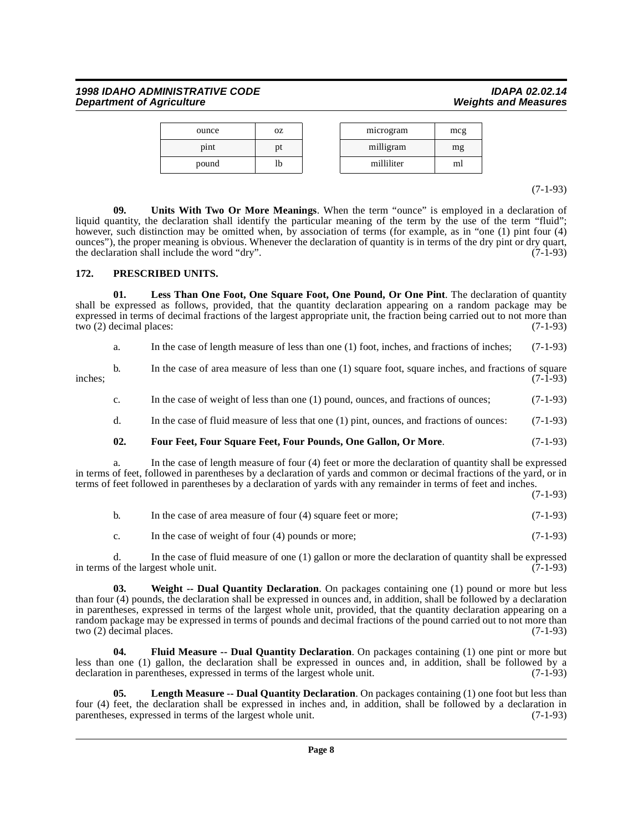### **1998 IDAHO ADMINISTRATIVE CODE IDAPA 02.02.14 Department of Agriculture**

| ounce | ΟZ | microgram  | mcg |
|-------|----|------------|-----|
| pint  | pτ | milligram  | mg  |
| pound | lb | milliliter | ml  |

(7-1-93)

<span id="page-7-6"></span>**09. Units With Two Or More Meanings**. When the term "ounce" is employed in a declaration of liquid quantity, the declaration shall identify the particular meaning of the term by the use of the term "fluid"; however, such distinction may be omitted when, by association of terms (for example, as in "one (1) pint four (4) ounces"), the proper meaning is obvious. Whenever the declaration of quantity is in terms of the dry pint or dry quart, the declaration shall include the word "dry". the declaration shall include the word "dry".

### <span id="page-7-5"></span><span id="page-7-0"></span>**172. PRESCRIBED UNITS.**

**01. Less Than One Foot, One Square Foot, One Pound, Or One Pint**. The declaration of quantity shall be expressed as follows, provided, that the quantity declaration appearing on a random package may be expressed in terms of decimal fractions of the largest appropriate unit, the fraction being carried out to not more than two (2) decimal places:  $(7-1-93)$ 

<span id="page-7-4"></span>

| a. | In the case of length measure of less than one $(1)$ foot, inches, and fractions of inches; $(7-1-93)$ |  |
|----|--------------------------------------------------------------------------------------------------------|--|
|    |                                                                                                        |  |

b. In the case of area measure of less than one (1) square foot, square inches, and fractions of square inches; (7-1-93)

c. In the case of weight of less than one (1) pound, ounces, and fractions of ounces; (7-1-93)

d. In the case of fluid measure of less that one (1) pint, ounces, and fractions of ounces: (7-1-93)

### <span id="page-7-2"></span>**02. Four Feet, Four Square Feet, Four Pounds, One Gallon, Or More**. (7-1-93)

a. In the case of length measure of four (4) feet or more the declaration of quantity shall be expressed in terms of feet, followed in parentheses by a declaration of yards and common or decimal fractions of the yard, or in terms of feet followed in parentheses by a declaration of yards with any remainder in terms of feet and inches.

(7-1-93)

b. In the case of area measure of four (4) square feet or more; (7-1-93) c. In the case of weight of four (4) pounds or more; (7-1-93)

d. In the case of fluid measure of one (1) gallon or more the declaration of quantity shall be expressed in terms of the largest whole unit. (7-1-93)

<span id="page-7-7"></span>**03. Weight -- Dual Quantity Declaration**. On packages containing one (1) pound or more but less than four (4) pounds, the declaration shall be expressed in ounces and, in addition, shall be followed by a declaration in parentheses, expressed in terms of the largest whole unit, provided, that the quantity declaration appearing on a random package may be expressed in terms of pounds and decimal fractions of the pound carried out to not more than two (2) decimal places. (7-1-93)

<span id="page-7-1"></span>**04. Fluid Measure -- Dual Quantity Declaration**. On packages containing (1) one pint or more but less than one (1) gallon, the declaration shall be expressed in ounces and, in addition, shall be followed by a declaration in parentheses, expressed in terms of the largest whole unit. (7-1-93)

<span id="page-7-3"></span>**05. Length Measure -- Dual Quantity Declaration**. On packages containing (1) one foot but less than four (4) feet, the declaration shall be expressed in inches and, in addition, shall be followed by a declaration in parentheses, expressed in terms of the largest whole unit.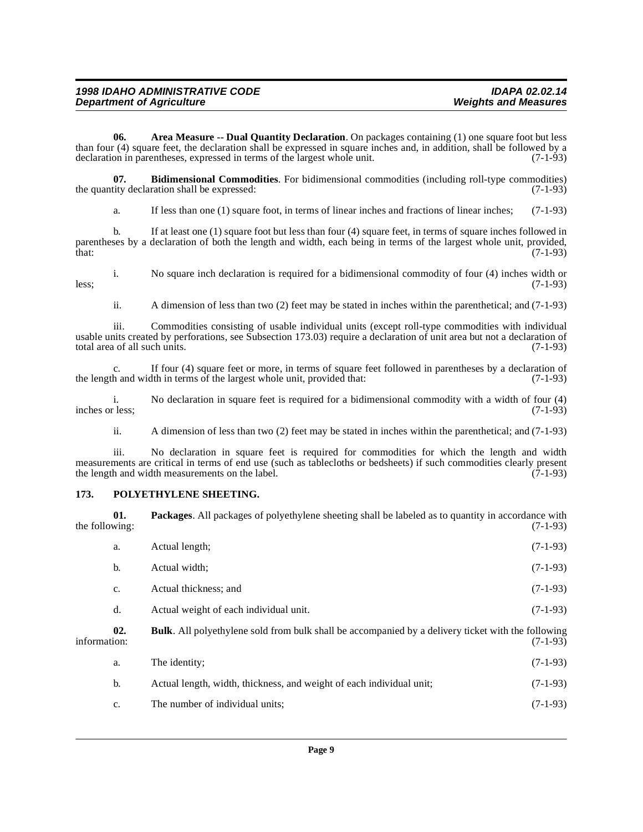<span id="page-8-1"></span>**06. Area Measure -- Dual Quantity Declaration**. On packages containing (1) one square foot but less than four (4) square feet, the declaration shall be expressed in square inches and, in addition, shall be followed by a declaration in parentheses, expressed in terms of the largest whole unit.  $(7-1-93)$ declaration in parentheses, expressed in terms of the largest whole unit.

**07. Bidimensional Commodities**. For bidimensional commodities (including roll-type commodities) (7-1-93) the quantity declaration shall be expressed:

<span id="page-8-2"></span>a. If less than one (1) square foot, in terms of linear inches and fractions of linear inches; (7-1-93)

b. If at least one (1) square foot but less than four (4) square feet, in terms of square inches followed in parentheses by a declaration of both the length and width, each being in terms of the largest whole unit, provided, that: (7-1-93)  $\text{that:} \quad (7-1-93)$ 

i. No square inch declaration is required for a bidimensional commodity of four (4) inches width or less; (7-1-93)

ii. A dimension of less than two (2) feet may be stated in inches within the parenthetical; and (7-1-93)

iii. Commodities consisting of usable individual units (except roll-type commodities with individual usable units created by perforations, see Subsection 173.03) require a declaration of unit area but not a declaration of total area of all such units. (7-1-93) total area of all such units.

c. If four (4) square feet or more, in terms of square feet followed in parentheses by a declaration of the length and width in terms of the largest whole unit, provided that: (7-1-93)

i. No declaration in square feet is required for a bidimensional commodity with a width of four (4) r less; inches or less;

ii. A dimension of less than two (2) feet may be stated in inches within the parenthetical; and (7-1-93)

iii. No declaration in square feet is required for commodities for which the length and width measurements are critical in terms of end use (such as tablecloths or bedsheets) if such commodities clearly present the length and width measurements on the label. (7-1-93) the length and width measurements on the label.

### <span id="page-8-5"></span><span id="page-8-0"></span>**173. POLYETHYLENE SHEETING.**

<span id="page-8-4"></span><span id="page-8-3"></span>

| the following: | 01. | <b>Packages.</b> All packages of polyethylene sheeting shall be labeled as to quantity in accordance with | $(7-1-93)$ |
|----------------|-----|-----------------------------------------------------------------------------------------------------------|------------|
|                | a.  | Actual length;                                                                                            | $(7-1-93)$ |
|                | b.  | Actual width:                                                                                             | $(7-1-93)$ |
|                | c.  | Actual thickness; and                                                                                     | $(7-1-93)$ |
|                | d.  | Actual weight of each individual unit.                                                                    | $(7-1-93)$ |
| information:   | 02. | <b>Bulk.</b> All polyethylene sold from bulk shall be accompanied by a delivery ticket with the following | $(7-1-93)$ |
|                | a.  | The identity:                                                                                             | $(7-1-93)$ |
|                | b.  | Actual length, width, thickness, and weight of each individual unit;                                      | $(7-1-93)$ |
|                | c.  | The number of individual units;                                                                           | $(7-1-93)$ |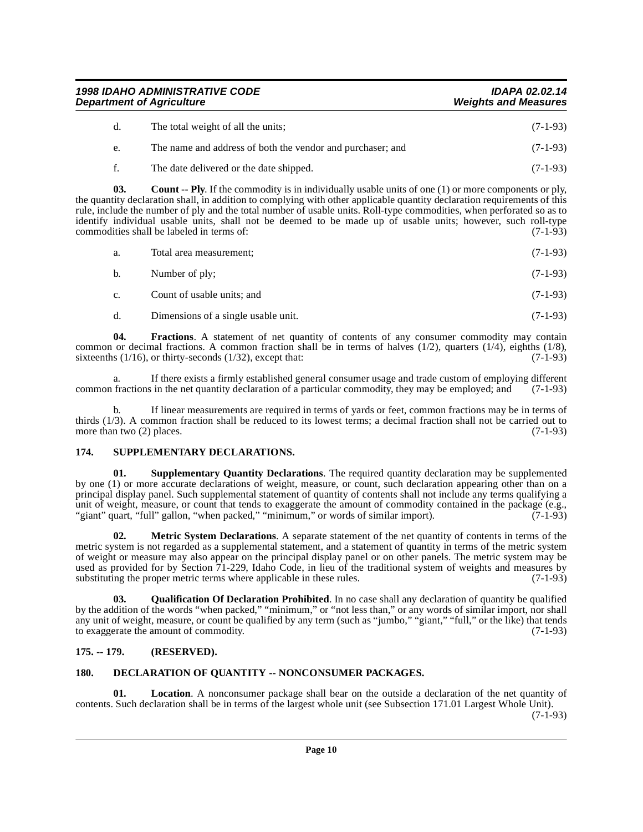**1998 IDAHO ADMINISTRATIVE CODE IDAPA 02.02.14 Department of Agriculture** 

<span id="page-9-3"></span>

| d. | The total weight of all the units;                         | $(7-1-93)$ |
|----|------------------------------------------------------------|------------|
| e. | The name and address of both the vendor and purchaser; and | $(7-1-93)$ |
|    | The date delivered or the date shipped.                    | $(7-1-93)$ |

**03.** Count -- Ply. If the commodity is in individually usable units of one (1) or more components or ply, the quantity declaration shall, in addition to complying with other applicable quantity declaration requirements of this rule, include the number of ply and the total number of usable units. Roll-type commodities, when perforated so as to identify individual usable units, shall not be deemed to be made up of usable units; however, such roll-type commodities shall be labeled in terms of: (7-1-93) commodities shall be labeled in terms of:

| a.          | Total area measurement;             | $(7-1-93)$ |
|-------------|-------------------------------------|------------|
| b.          | Number of ply;                      | $(7-1-93)$ |
| $c_{\cdot}$ | Count of usable units; and          | $(7-1-93)$ |
| d.          | Dimensions of a single usable unit. | $(7-1-93)$ |

<span id="page-9-5"></span>**04.** Fractions. A statement of net quantity of contents of any consumer commodity may contain common or decimal fractions. A common fraction shall be in terms of halves (1/2), quarters (1/4), eighths (1/8), sixteenths (1/16), or thirty-seconds (1/32), except that: (7-1-93) sixteenths ( $1/16$ ), or thirty-seconds ( $1/32$ ), except that:

a. If there exists a firmly established general consumer usage and trade custom of employing different fractions in the net quantity declaration of a particular commodity, they may be employed: and (7-1-93) common fractions in the net quantity declaration of a particular commodity, they may be employed; and

b. If linear measurements are required in terms of yards or feet, common fractions may be in terms of thirds (1/3). A common fraction shall be reduced to its lowest terms; a decimal fraction shall not be carried out to more than two (2) places.  $(7-1-93)$ more than two  $(2)$  places.

### <span id="page-9-9"></span><span id="page-9-0"></span>**174. SUPPLEMENTARY DECLARATIONS.**

<span id="page-9-10"></span>**01. Supplementary Quantity Declarations**. The required quantity declaration may be supplemented by one (1) or more accurate declarations of weight, measure, or count, such declaration appearing other than on a principal display panel. Such supplemental statement of quantity of contents shall not include any terms qualifying a unit of weight, measure, or count that tends to exaggerate the amount of commodity contained in the package (e.g., "giant" quart, "full" gallon, "when packed," "minimum," or words of similar import). (7-1-93)

<span id="page-9-7"></span>**02. Metric System Declarations**. A separate statement of the net quantity of contents in terms of the metric system is not regarded as a supplemental statement, and a statement of quantity in terms of the metric system of weight or measure may also appear on the principal display panel or on other panels. The metric system may be used as provided for by Section 71-229, Idaho Code, in lieu of the traditional system of weights and measures by substituting the proper metric terms where applicable in these rules. (7-1-93) substituting the proper metric terms where applicable in these rules.

<span id="page-9-8"></span>**03. Qualification Of Declaration Prohibited**. In no case shall any declaration of quantity be qualified by the addition of the words "when packed," "minimum," or "not less than," or any words of similar import, nor shall any unit of weight, measure, or count be qualified by any term (such as "jumbo," "giant," "full," or the like) that tends to exaggerate the amount of commodity. (7-1-93)

### <span id="page-9-1"></span>**175. -- 179. (RESERVED).**

### <span id="page-9-4"></span><span id="page-9-2"></span>**180. DECLARATION OF QUANTITY -- NONCONSUMER PACKAGES.**

<span id="page-9-6"></span>**01.** Location. A nonconsumer package shall bear on the outside a declaration of the net quantity of contents. Such declaration shall be in terms of the largest whole unit (see Subsection 171.01 Largest Whole Unit).

(7-1-93)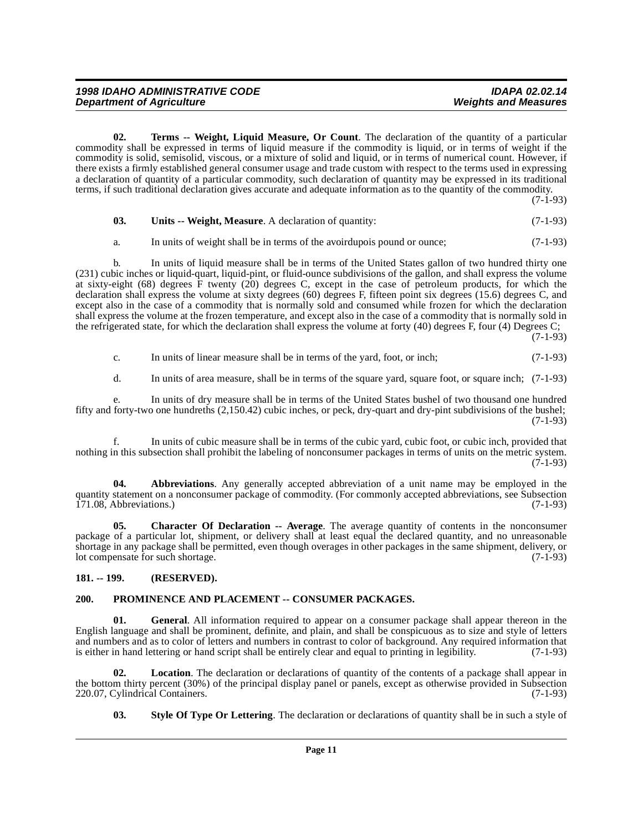<span id="page-10-6"></span>**02. Terms -- Weight, Liquid Measure, Or Count**. The declaration of the quantity of a particular commodity shall be expressed in terms of liquid measure if the commodity is liquid, or in terms of weight if the commodity is solid, semisolid, viscous, or a mixture of solid and liquid, or in terms of numerical count. However, if there exists a firmly established general consumer usage and trade custom with respect to the terms used in expressing a declaration of quantity of a particular commodity, such declaration of quantity may be expressed in its traditional terms, if such traditional declaration gives accurate and adequate information as to the quantity of the commodity.

(7-1-93)

<span id="page-10-7"></span>

| 03. | <b>Units -- Weight, Measure.</b> A declaration of quantity: | $(7-1-93)$ |
|-----|-------------------------------------------------------------|------------|
|     |                                                             |            |

a. In units of weight shall be in terms of the avoirdupois pound or ounce; (7-1-93)

b. In units of liquid measure shall be in terms of the United States gallon of two hundred thirty one (231) cubic inches or liquid-quart, liquid-pint, or fluid-ounce subdivisions of the gallon, and shall express the volume at sixty-eight (68) degrees  $\hat{F}$  twenty (20) degrees C, except in the case of petroleum products, for which the declaration shall express the volume at sixty degrees (60) degrees F, fifteen point six degrees (15.6) degrees C, and except also in the case of a commodity that is normally sold and consumed while frozen for which the declaration shall express the volume at the frozen temperature, and except also in the case of a commodity that is normally sold in the refrigerated state, for which the declaration shall express the volume at forty (40) degrees F, four (4) Degrees C;

(7-1-93)

c. In units of linear measure shall be in terms of the yard, foot, or inch; (7-1-93)

d. In units of area measure, shall be in terms of the square yard, square foot, or square inch; (7-1-93)

e. In units of dry measure shall be in terms of the United States bushel of two thousand one hundred fifty and forty-two one hundreths (2,150.42) cubic inches, or peck, dry-quart and dry-pint subdivisions of the bushel; (7-1-93)

In units of cubic measure shall be in terms of the cubic yard, cubic foot, or cubic inch, provided that nothing in this subsection shall prohibit the labeling of nonconsumer packages in terms of units on the metric system. (7-1-93)

<span id="page-10-2"></span>**04. Abbreviations**. Any generally accepted abbreviation of a unit name may be employed in the quantity statement on a nonconsumer package of commodity. (For commonly accepted abbreviations, see Subsection<br>(71.08. Abbreviations.)  $171.08$ , Abbreviations.)

<span id="page-10-3"></span>**05.** Character Of Declaration -- Average. The average quantity of contents in the nonconsumer package of a particular lot, shipment, or delivery shall at least equal the declared quantity, and no unreasonable shortage in any package shall be permitted, even though overages in other packages in the same shipment, delivery, or lot compensate for such shortage. (7-1-93)

### <span id="page-10-0"></span>**181. -- 199. (RESERVED).**

### <span id="page-10-4"></span><span id="page-10-1"></span>**200. PROMINENCE AND PLACEMENT -- CONSUMER PACKAGES.**

**01. General**. All information required to appear on a consumer package shall appear thereon in the English language and shall be prominent, definite, and plain, and shall be conspicuous as to size and style of letters and numbers and as to color of letters and numbers in contrast to color of background. Any required information that is either in hand lettering or hand script shall be entirely clear and equal to printing in legibility. ( is either in hand lettering or hand script shall be entirely clear and equal to printing in legibility.

**02.** Location. The declaration or declarations of quantity of the contents of a package shall appear in the bottom thirty percent (30%) of the principal display panel or panels, except as otherwise provided in Subsection 220.07, Cylindrical Containers. (7-1-93) 220.07, Cylindrical Containers.

<span id="page-10-5"></span>**03. Style Of Type Or Lettering**. The declaration or declarations of quantity shall be in such a style of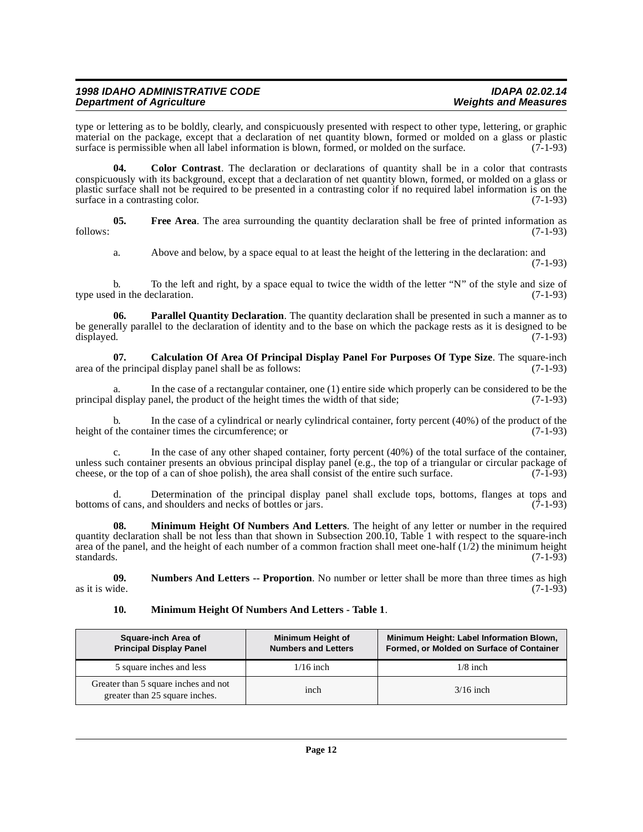### **1998 IDAHO ADMINISTRATIVE CODE IDAPA 02.02.14 Department of Agriculture**

type or lettering as to be boldly, clearly, and conspicuously presented with respect to other type, lettering, or graphic material on the package, except that a declaration of net quantity blown, formed or molded on a glass or plastic surface is permissible when all label information is blown, formed, or molded on the surface. (7-1-93) surface is permissible when all label information is blown, formed, or molded on the surface.

<span id="page-11-1"></span>**04. Color Contrast**. The declaration or declarations of quantity shall be in a color that contrasts conspicuously with its background, except that a declaration of net quantity blown, formed, or molded on a glass or plastic surface shall not be required to be presented in a contrasting color if no required label information is on the surface in a contrasting color. (7-1-93)

**05.** Free Area. The area surrounding the quantity declaration shall be free of printed information as (7-1-93) follows: (7-1-93)

<span id="page-11-5"></span><span id="page-11-2"></span>a. Above and below, by a space equal to at least the height of the lettering in the declaration: and (7-1-93)

b. To the left and right, by a space equal to twice the width of the letter "N" of the style and size of d in the declaration. (7-1-93) type used in the declaration.

**06. Parallel Quantity Declaration**. The quantity declaration shall be presented in such a manner as to be generally parallel to the declaration of identity and to the base on which the package rests as it is designed to be displayed. (7-1-93) displayed. (7-1-93)

<span id="page-11-0"></span>**07. Calculation Of Area Of Principal Display Panel For Purposes Of Type Size**. The square-inch area of the principal display panel shall be as follows: (7-1-93)

a. In the case of a rectangular container, one (1) entire side which properly can be considered to be the display panel, the product of the height times the width of that side; (7-1-93) principal display panel, the product of the height times the width of that side;

In the case of a cylindrical or nearly cylindrical container, forty percent (40%) of the product of the ainer times the circumference; or height of the container times the circumference; or

c. In the case of any other shaped container, forty percent (40%) of the total surface of the container, unless such container presents an obvious principal display panel (e.g., the top of a triangular or circular package of cheese, or the top of a can of shoe polish), the area shall consist of the entire such surface. (7-1-9 cheese, or the top of a can of shoe polish), the area shall consist of the entire such surface.

d. Determination of the principal display panel shall exclude tops, bottoms, flanges at tops and of cans. and shoulders and necks of bottles or jars. (7-1-93) bottoms of cans, and shoulders and necks of bottles or jars.

**08. Minimum Height Of Numbers And Letters**. The height of any letter or number in the required quantity declaration shall be not less than that shown in Subsection 200.10, Table 1 with respect to the square-inch area of the panel, and the height of each number of a common fraction shall meet one-half  $(1/2)$  the minimum height standards. (7-1-93) standards.  $(7-1-93)$ 

**09.** Numbers And Letters -- Proportion. No number or letter shall be more than three times as high as it is wide. (7-1-93) as it is wide.  $(7-1-93)$ 

### <span id="page-11-4"></span><span id="page-11-3"></span>**10. Minimum Height Of Numbers And Letters - Table 1**.

| Square-inch Area of<br><b>Principal Display Panel</b>                  | <b>Minimum Height of</b><br><b>Numbers and Letters</b> | Minimum Height: Label Information Blown,<br>Formed, or Molded on Surface of Container |
|------------------------------------------------------------------------|--------------------------------------------------------|---------------------------------------------------------------------------------------|
| 5 square inches and less                                               | $1/16$ inch                                            | $1/8$ inch                                                                            |
| Greater than 5 square inches and not<br>greater than 25 square inches. | inch                                                   | $3/16$ inch                                                                           |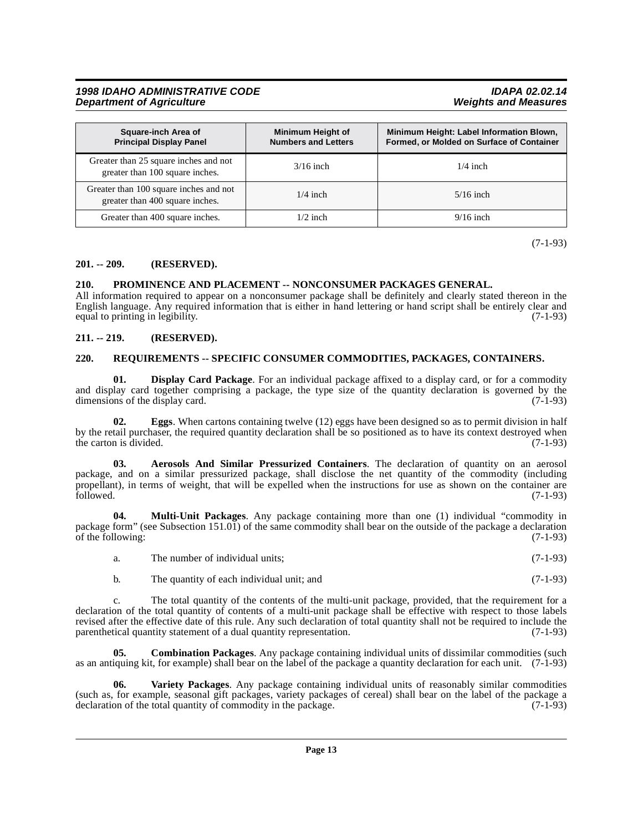### **1998 IDAHO ADMINISTRATIVE CODE IDAPA 02.02.14 Department of Agriculture**

| Square-inch Area of<br><b>Principal Display Panel</b>                     | <b>Minimum Height of</b><br><b>Numbers and Letters</b> | Minimum Height: Label Information Blown,<br>Formed, or Molded on Surface of Container |
|---------------------------------------------------------------------------|--------------------------------------------------------|---------------------------------------------------------------------------------------|
| Greater than 25 square inches and not<br>greater than 100 square inches.  | $3/16$ inch                                            | $1/4$ inch                                                                            |
| Greater than 100 square inches and not<br>greater than 400 square inches. | $1/4$ inch                                             | $5/16$ inch                                                                           |
| Greater than 400 square inches.                                           | $1/2$ inch                                             | $9/16$ inch                                                                           |

(7-1-93)

### <span id="page-12-0"></span>**201. -- 209. (RESERVED).**

### <span id="page-12-9"></span><span id="page-12-1"></span>**210. PROMINENCE AND PLACEMENT -- NONCONSUMER PACKAGES GENERAL.**

All information required to appear on a nonconsumer package shall be definitely and clearly stated thereon in the English language. Any required information that is either in hand lettering or hand script shall be entirely clear and equal to printing in legibility.

### <span id="page-12-2"></span>**211. -- 219. (RESERVED).**

### <span id="page-12-10"></span><span id="page-12-3"></span>**220. REQUIREMENTS -- SPECIFIC CONSUMER COMMODITIES, PACKAGES, CONTAINERS.**

<span id="page-12-6"></span>**01. Display Card Package**. For an individual package affixed to a display card, or for a commodity and display card together comprising a package, the type size of the quantity declaration is governed by the dimensions of the display card.  $(7-1-93)$ dimensions of the display card.

<span id="page-12-7"></span>**Eggs**. When cartons containing twelve (12) eggs have been designed so as to permit division in half by the retail purchaser, the required quantity declaration shall be so positioned as to have its context destroyed when the carton is divided.  $(7-1-93)$ 

<span id="page-12-4"></span>**03. Aerosols And Similar Pressurized Containers**. The declaration of quantity on an aerosol package, and on a similar pressurized package, shall disclose the net quantity of the commodity (including propellant), in terms of weight, that will be expelled when the instructions for use as shown on the container are followed. (7-1-93) followed. (7-1-93)

**04. Multi-Unit Packages**. Any package containing more than one (1) individual "commodity in package form" (see Subsection 151.01) of the same commodity shall bear on the outside of the package a declaration of the following:  $(7-1-93)$ 

<span id="page-12-8"></span>

| The number of individual units: | $(7-1-93)$ |  |
|---------------------------------|------------|--|
|                                 |            |  |

<span id="page-12-5"></span>b. The quantity of each individual unit; and  $(7-1-93)$ 

c. The total quantity of the contents of the multi-unit package, provided, that the requirement for a declaration of the total quantity of contents of a multi-unit package shall be effective with respect to those labels revised after the effective date of this rule. Any such declaration of total quantity shall not be required to include the parenthetical quantity statement of a dual quantity representation. (7-1-93)

**05. Combination Packages**. Any package containing individual units of dissimilar commodities (such as an antiquing kit, for example) shall bear on the label of the package a quantity declaration for each unit. (7-1-93)

<span id="page-12-11"></span>**06. Variety Packages**. Any package containing individual units of reasonably similar commodities (such as, for example, seasonal gift packages, variety packages of cereal) shall bear on the label of the package a declaration of the total quantity of commodity in the package. (7-1-93)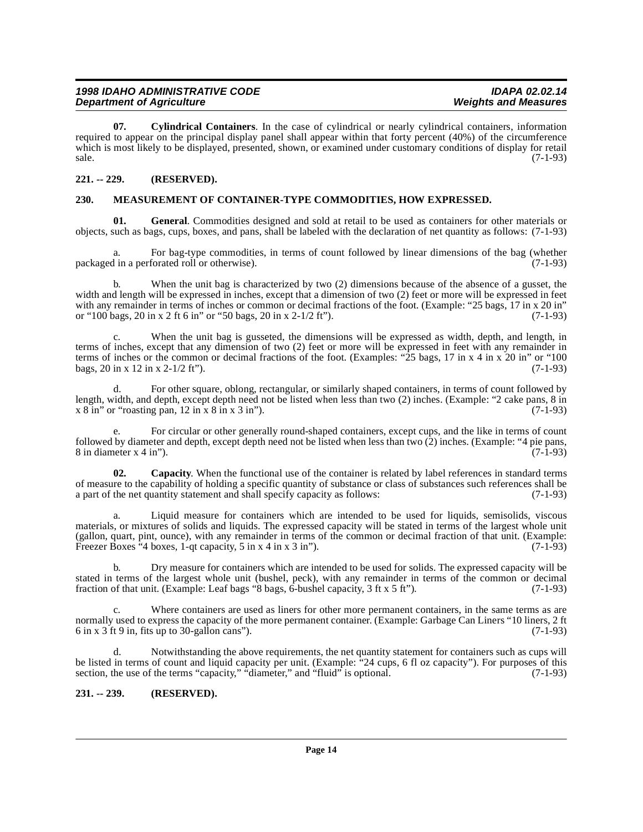<span id="page-13-4"></span>**07. Cylindrical Containers**. In the case of cylindrical or nearly cylindrical containers, information required to appear on the principal display panel shall appear within that forty percent (40%) of the circumference which is most likely to be displayed, presented, shown, or examined under customary conditions of display for retail  $s = (7-1-93)$ 

### <span id="page-13-0"></span>**221. -- 229. (RESERVED).**

### <span id="page-13-5"></span><span id="page-13-1"></span>**230. MEASUREMENT OF CONTAINER-TYPE COMMODITIES, HOW EXPRESSED.**

**01. General**. Commodities designed and sold at retail to be used as containers for other materials or objects, such as bags, cups, boxes, and pans, shall be labeled with the declaration of net quantity as follows: (7-1-93)

a. For bag-type commodities, in terms of count followed by linear dimensions of the bag (whether packaged in a perforated roll or otherwise). (7-1-93)

b. When the unit bag is characterized by two (2) dimensions because of the absence of a gusset, the width and length will be expressed in inches, except that a dimension of two (2) feet or more will be expressed in feet with any remainder in terms of inches or common or decimal fractions of the foot. (Example: "25 bags, 17 in x 20 in" or "100 bags, 20 in x 2 ft 6 in" or "50 bags, 20 in x 2-1/2 ft"). (7-1-93)

c. When the unit bag is gusseted, the dimensions will be expressed as width, depth, and length, in terms of inches, except that any dimension of two (2) feet or more will be expressed in feet with any remainder in terms of inches or the common or decimal fractions of the foot. (Examples: "25 bags, 17 in x 4 in x 20 in" or "100 bags,  $20 \text{ in } x \, 12 \text{ in } x \, 2 \cdot 1/2 \text{ ft}$ "). (7-1-93)

d. For other square, oblong, rectangular, or similarly shaped containers, in terms of count followed by length, width, and depth, except depth need not be listed when less than two (2) inches. (Example: "2 cake pans, 8 in  $x \& 0$  in" or "roasting pan, 12 in x  $8 \text{ in } x \& 3 \text{ in } "$ ).

For circular or other generally round-shaped containers, except cups, and the like in terms of count followed by diameter and depth, except depth need not be listed when less than two  $(2)$  inches. (Example: "4 pie pans, 8 in diameter x 4 in"). 8 in diameter  $x$  4 in").

<span id="page-13-3"></span>**02. Capacity**. When the functional use of the container is related by label references in standard terms of measure to the capability of holding a specific quantity of substance or class of substances such references shall be a part of the net quantity statement and shall specify capacity as follows: (7-1-93) a part of the net quantity statement and shall specify capacity as follows:

a. Liquid measure for containers which are intended to be used for liquids, semisolids, viscous materials, or mixtures of solids and liquids. The expressed capacity will be stated in terms of the largest whole unit (gallon, quart, pint, ounce), with any remainder in terms of the common or decimal fraction of that unit. (Example: Freezer Boxes  $^{4}$  boxes, 1-qt capacity, 5 in x 4 in x 3 in"). (7-1-93)

b. Dry measure for containers which are intended to be used for solids. The expressed capacity will be stated in terms of the largest whole unit (bushel, peck), with any remainder in terms of the common or decimal fraction of that unit. (Example: Leaf bags "8 bags, 6-bushel capacity, 3 ft  $x$  5 ft"). (7-1-93) fraction of that unit. (Example: Leaf bags "8 bags,  $6$ -bushel capacity, 3 ft x 5 ft").

Where containers are used as liners for other more permanent containers, in the same terms as are normally used to express the capacity of the more permanent container. (Example: Garbage Can Liners "10 liners, 2 ft 6 in x 3 ft 9 in, fits up to 30-gallon cans").  $(7-1-93)$ 

d. Notwithstanding the above requirements, the net quantity statement for containers such as cups will be listed in terms of count and liquid capacity per unit. (Example: "24 cups, 6 fl oz capacity"). For purposes of this section, the use of the terms "capacity," "diameter," and "fluid" is optional.  $(7-1-93)$ 

### <span id="page-13-2"></span>**231. -- 239. (RESERVED).**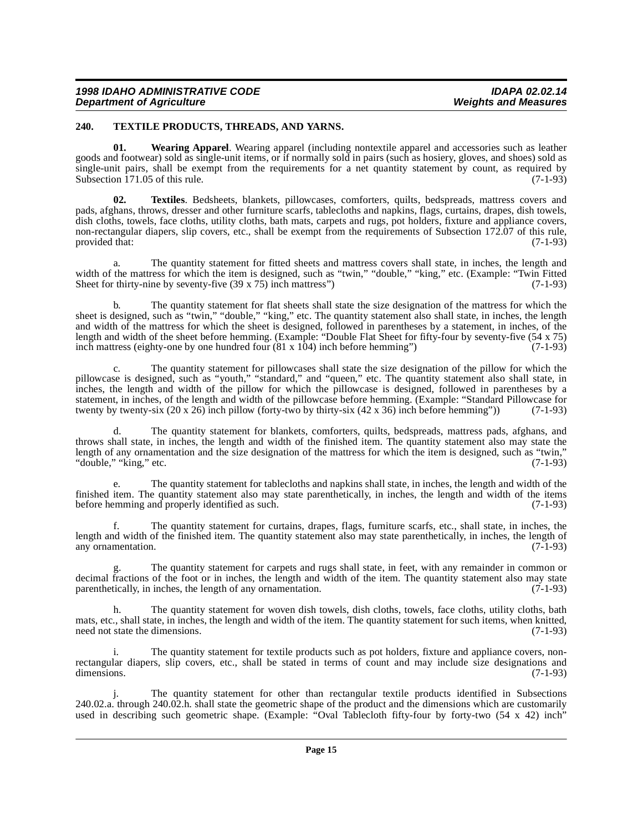### <span id="page-14-1"></span><span id="page-14-0"></span>**240. TEXTILE PRODUCTS, THREADS, AND YARNS.**

<span id="page-14-3"></span>**01. Wearing Apparel**. Wearing apparel (including nontextile apparel and accessories such as leather goods and footwear) sold as single-unit items, or if normally sold in pairs (such as hosiery, gloves, and shoes) sold as single-unit pairs, shall be exempt from the requirements for a net quantity statement by count, as required by Subsection 171.05 of this rule. (7-1-93)

<span id="page-14-2"></span>**02. Textiles**. Bedsheets, blankets, pillowcases, comforters, quilts, bedspreads, mattress covers and pads, afghans, throws, dresser and other furniture scarfs, tablecloths and napkins, flags, curtains, drapes, dish towels, dish cloths, towels, face cloths, utility cloths, bath mats, carpets and rugs, pot holders, fixture and appliance covers, non-rectangular diapers, slip covers, etc., shall be exempt from the requirements of Subsection 172.07 of this rule, provided that: (7-1-93) provided that:

The quantity statement for fitted sheets and mattress covers shall state, in inches, the length and width of the mattress for which the item is designed, such as "twin," "double," "king," etc. (Example: "Twin Fitted Sheet for thirty-nine by seventy-five (39 x 75) inch mattress") (7-1-93) Sheet for thirty-nine by seventy-five  $(39 \times 75)$  inch mattress")

b. The quantity statement for flat sheets shall state the size designation of the mattress for which the sheet is designed, such as "twin," "double," "king," etc. The quantity statement also shall state, in inches, the length and width of the mattress for which the sheet is designed, followed in parentheses by a statement, in inches, of the length and width of the sheet before hemming. (Example: "Double Flat Sheet for fifty-four by seventy-five (54 x 75) inch mattress (eighty-one by one hundred four (81 x 104) inch before hemming") (7-1-93) inch mattress (eighty-one by one hundred four  $(81 \times 104)$  inch before hemming")

c. The quantity statement for pillowcases shall state the size designation of the pillow for which the pillowcase is designed, such as "youth," "standard," and "queen," etc. The quantity statement also shall state, in inches, the length and width of the pillow for which the pillowcase is designed, followed in parentheses by a statement, in inches, of the length and width of the pillowcase before hemming. (Example: "Standard Pillowcase for twenty by twenty-six (20 x 26) inch pillow (forty-two by thirty-six (42 x 36) inch before hemming")) (7-1twenty by twenty-six (20 x 26) inch pillow (forty-two by thirty-six (42 x 36) inch before hemming"))

d. The quantity statement for blankets, comforters, quilts, bedspreads, mattress pads, afghans, and throws shall state, in inches, the length and width of the finished item. The quantity statement also may state the length of any ornamentation and the size designation of the mattress for which the item is designed, such as "twin,"<br>"double," "king," etc. (7-1-93) "double," "king," etc.

e. The quantity statement for tablecloths and napkins shall state, in inches, the length and width of the finished item. The quantity statement also may state parenthetically, in inches, the length and width of the items before hemming and properly identified as such. (7-1-93)

The quantity statement for curtains, drapes, flags, furniture scarfs, etc., shall state, in inches, the length and width of the finished item. The quantity statement also may state parenthetically, in inches, the length of any ornamentation. (7-1-93)

The quantity statement for carpets and rugs shall state, in feet, with any remainder in common or decimal fractions of the foot or in inches, the length and width of the item. The quantity statement also may state parenthetically, in inches, the length of any ornamentation.  $(7-1-93)$ parenthetically, in inches, the length of any ornamentation.

The quantity statement for woven dish towels, dish cloths, towels, face cloths, utility cloths, bath mats, etc., shall state, in inches, the length and width of the item. The quantity statement for such items, when knitted, need not state the dimensions. (7-1-93) need not state the dimensions.

i. The quantity statement for textile products such as pot holders, fixture and appliance covers, nonrectangular diapers, slip covers, etc., shall be stated in terms of count and may include size designations and dimensions. (7-1-93)

The quantity statement for other than rectangular textile products identified in Subsections 240.02.a. through 240.02.h. shall state the geometric shape of the product and the dimensions which are customarily used in describing such geometric shape. (Example: "Oval Tablecloth fifty-four by forty-two (54 x 42) inch"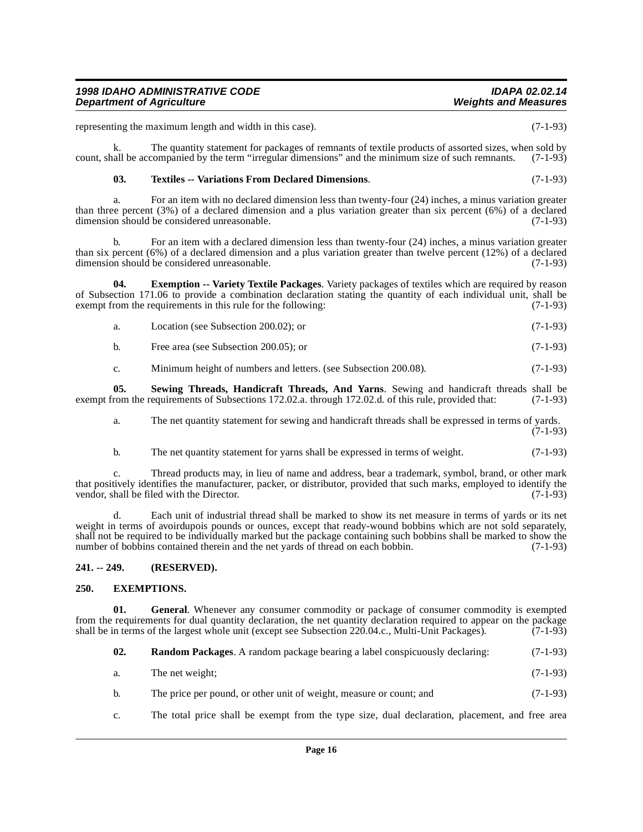|  |  | For an item with no declared dimension less than twenty-four (24) inches, a minus variation greater                    |  |  |  |  |  |            |
|--|--|------------------------------------------------------------------------------------------------------------------------|--|--|--|--|--|------------|
|  |  | than three percent $(3\%)$ of a declared dimension and a plus variation greater than six percent $(6\%)$ of a declared |  |  |  |  |  |            |
|  |  | dimension should be considered unreasonable.                                                                           |  |  |  |  |  | $(7-1-93)$ |

b. For an item with a declared dimension less than twenty-four (24) inches, a minus variation greater than six percent (6%) of a declared dimension and a plus variation greater than twelve percent (12%) of a declared dimension should be considered unreasonable. (7-1-93)

**04. Exemption -- Variety Textile Packages**. Variety packages of textiles which are required by reason of Subsection 171.06 to provide a combination declaration stating the quantity of each individual unit, shall be exempt from the requirements in this rule for the following:  $(7-1-93)$ exempt from the requirements in this rule for the following:

- <span id="page-15-2"></span>a. Location (see Subsection 200.02); or (7-1-93)
- b. Free area (see Subsection 200.05); or (7-1-93)

<span id="page-15-5"></span>c. Minimum height of numbers and letters. (see Subsection 200.08). (7-1-93)

**05. Sewing Threads, Handicraft Threads, And Yarns**. Sewing and handicraft threads shall be from the requirements of Subsections 172.02.a. through 172.02.d. of this rule, provided that: (7-1-93) exempt from the requirements of Subsections 172.02.a. through 172.02.d. of this rule, provided that:

a. The net quantity statement for sewing and handicraft threads shall be expressed in terms of yards. (7-1-93)

b. The net quantity statement for yarns shall be expressed in terms of weight. (7-1-93)

c. Thread products may, in lieu of name and address, bear a trademark, symbol, brand, or other mark that positively identifies the manufacturer, packer, or distributor, provided that such marks, employed to identify the vendor, shall be filed with the Director. vendor, shall be filed with the Director.

d. Each unit of industrial thread shall be marked to show its net measure in terms of yards or its net weight in terms of avoirdupois pounds or ounces, except that ready-wound bobbins which are not sold separately, shall not be required to be individually marked but the package containing such bobbins shall be marked to show the number of bobbins contained therein and the net yards of thread on each bobbin. (7-1-93)

### <span id="page-15-0"></span>**241. -- 249. (RESERVED).**

### <span id="page-15-3"></span><span id="page-15-1"></span>**250. EXEMPTIONS.**

**01. General**. Whenever any consumer commodity or package of consumer commodity is exempted from the requirements for dual quantity declaration, the net quantity declaration required to appear on the package shall be in terms of the largest whole unit (except see Subsection 220.04.c., Multi-Unit Packages). (7-1-93)

<span id="page-15-4"></span>

| 02.<br><b>Random Packages.</b> A random package bearing a label conspicuously declaring: | $(7-1-93)$ |
|------------------------------------------------------------------------------------------|------------|
|------------------------------------------------------------------------------------------|------------|

- a. The net weight; (7-1-93)
- b. The price per pound, or other unit of weight, measure or count; and (7-1-93)
- c. The total price shall be exempt from the type size, dual declaration, placement, and free area

## **1998 IDAHO ADMINISTRATIVE CODE IDAPA 02.02.14 Department of Agriculture**

representing the maximum length and width in this case). (7-1-93)

<span id="page-15-6"></span>**03. Textiles -- Variations From Declared Dimensions**. (7-1-93)

```
count, shall be accompanied by the term "irregular dimensions" and the minimum size of such remnants. (7-1-93)
```
k. The quantity statement for packages of remnants of textile products of assorted sizes, when sold by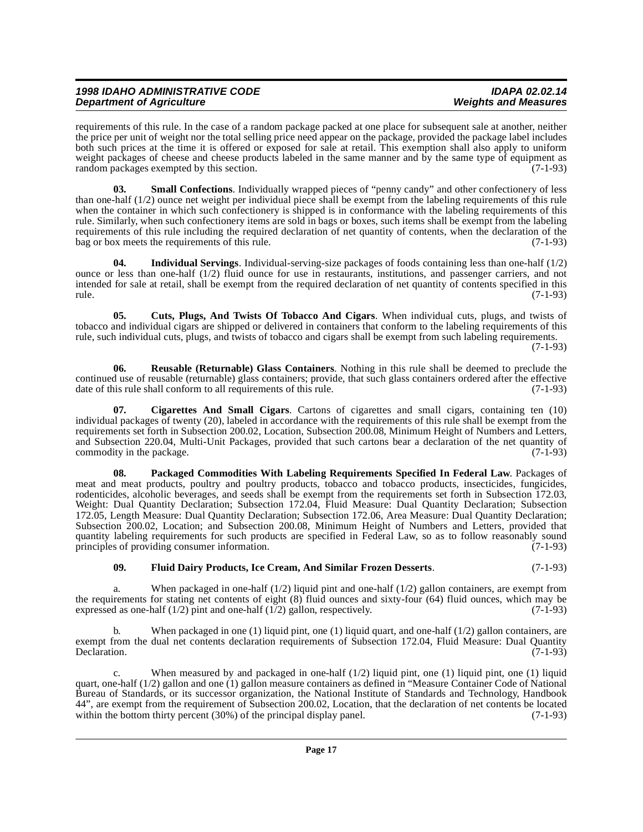requirements of this rule. In the case of a random package packed at one place for subsequent sale at another, neither the price per unit of weight nor the total selling price need appear on the package, provided the package label includes both such prices at the time it is offered or exposed for sale at retail. This exemption shall also apply to uniform weight packages of cheese and cheese products labeled in the same manner and by the same type of equipment as random packages exempted by this section.

<span id="page-16-6"></span>**03. Small Confections**. Individually wrapped pieces of "penny candy" and other confectionery of less than one-half (1/2) ounce net weight per individual piece shall be exempt from the labeling requirements of this rule when the container in which such confectionery is shipped is in conformance with the labeling requirements of this rule. Similarly, when such confectionery items are sold in bags or boxes, such items shall be exempt from the labeling requirements of this rule including the required declaration of net quantity of contents, when the declaration of the bag or box meets the requirements of this rule. (7-1-93) bag or box meets the requirements of this rule.

<span id="page-16-3"></span>**04. Individual Servings**. Individual-serving-size packages of foods containing less than one-half (1/2) ounce or less than one-half (1/2) fluid ounce for use in restaurants, institutions, and passenger carriers, and not intended for sale at retail, shall be exempt from the required declaration of net quantity of contents specified in this rule. (7-1-93)

<span id="page-16-1"></span>**05. Cuts, Plugs, And Twists Of Tobacco And Cigars**. When individual cuts, plugs, and twists of tobacco and individual cigars are shipped or delivered in containers that conform to the labeling requirements of this rule, such individual cuts, plugs, and twists of tobacco and cigars shall be exempt from such labeling requirements.

(7-1-93)

<span id="page-16-5"></span>**06. Reusable (Returnable) Glass Containers**. Nothing in this rule shall be deemed to preclude the continued use of reusable (returnable) glass containers; provide, that such glass containers ordered after the effective date of this rule shall conform to all requirements of this rule. (7-1-93) date of this rule shall conform to all requirements of this rule.

<span id="page-16-0"></span>**07. Cigarettes And Small Cigars**. Cartons of cigarettes and small cigars, containing ten (10) individual packages of twenty (20), labeled in accordance with the requirements of this rule shall be exempt from the requirements set forth in Subsection 200.02, Location, Subsection 200.08, Minimum Height of Numbers and Letters, and Subsection 220.04, Multi-Unit Packages, provided that such cartons bear a declaration of the net quantity of commodity in the package.  $(7-1-93)$ 

<span id="page-16-4"></span>**08. Packaged Commodities With Labeling Requirements Specified In Federal Law**. Packages of meat and meat products, poultry and poultry products, tobacco and tobacco products, insecticides, fungicides, rodenticides, alcoholic beverages, and seeds shall be exempt from the requirements set forth in Subsection 172.03, Weight: Dual Quantity Declaration; Subsection 172.04, Fluid Measure: Dual Quantity Declaration; Subsection 172.05, Length Measure: Dual Quantity Declaration; Subsection 172.06, Area Measure: Dual Quantity Declaration; Subsection 200.02, Location; and Subsection 200.08, Minimum Height of Numbers and Letters, provided that quantity labeling requirements for such products are specified in Federal Law, so as to follow reasonably sound principles of providing consumer information. (7-1-93)

### <span id="page-16-2"></span>**09. Fluid Dairy Products, Ice Cream, And Similar Frozen Desserts**. (7-1-93)

a. When packaged in one-half (1/2) liquid pint and one-half (1/2) gallon containers, are exempt from the requirements for stating net contents of eight (8) fluid ounces and sixty-four (64) fluid ounces, which may be expressed as one-half  $(1/2)$  pint and one-half  $(1/2)$  gallon, respectively. (7-1-93)

b. When packaged in one (1) liquid pint, one (1) liquid quart, and one-half  $(1/2)$  gallon containers, are exempt from the dual net contents declaration requirements of Subsection 172.04, Fluid Measure: Dual Quantity<br>Declaration. (7-1-93) Declaration. (7-1-93)

c. When measured by and packaged in one-half (1/2) liquid pint, one (1) liquid pint, one (1) liquid quart, one-half (1/2) gallon and one (1) gallon measure containers as defined in "Measure Container Code of National Bureau of Standards, or its successor organization, the National Institute of Standards and Technology, Handbook 44", are exempt from the requirement of Subsection 200.02, Location, that the declaration of net contents be located within the bottom thirty percent (30%) of the principal display panel. (7-1-93) within the bottom thirty percent  $(30%)$  of the principal display panel.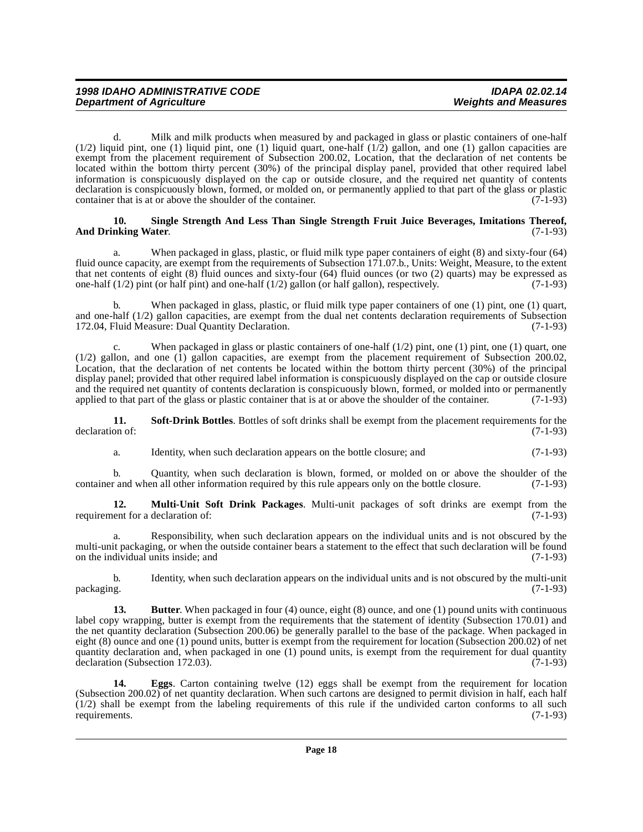d. Milk and milk products when measured by and packaged in glass or plastic containers of one-half  $(1/2)$  liquid pint, one  $(1)$  liquid pint, one  $(1)$  liquid quart, one-half  $(1/2)$  gallon, and one  $(1)$  gallon capacities are exempt from the placement requirement of Subsection 200.02, Location, that the declaration of net contents be located within the bottom thirty percent (30%) of the principal display panel, provided that other required label information is conspicuously displayed on the cap or outside closure, and the required net quantity of contents declaration is conspicuously blown, formed, or molded on, or permanently applied to that part of the glass or plastic container that is at or above the shoulder of the container.  $(7-1-93)$ 

### <span id="page-17-3"></span>**10. Single Strength And Less Than Single Strength Fruit Juice Beverages, Imitations Thereof,** And Drinking Water. (7-1-93)

a. When packaged in glass, plastic, or fluid milk type paper containers of eight (8) and sixty-four (64) fluid ounce capacity, are exempt from the requirements of Subsection 171.07.b., Units: Weight, Measure, to the extent that net contents of eight (8) fluid ounces and sixty-four (64) fluid ounces (or two (2) quarts) may be expressed as one-half  $(1/2)$  pint (or half pint) and one-half  $(1/2)$  gallon (or half gallon), respectively. (7-1-93)

When packaged in glass, plastic, or fluid milk type paper containers of one (1) pint, one (1) quart, and one-half (1/2) gallon capacities, are exempt from the dual net contents declaration requirements of Subsection 172.04, Fluid Measure: Dual Quantity Declaration. (7-1-93)

When packaged in glass or plastic containers of one-half  $(1/2)$  pint, one  $(1)$  pint, one  $(1)$  quart, one  $(1/2)$  gallon, and one  $(1)$  gallon capacities, are exempt from the placement requirement of Subsection 200.02, Location, that the declaration of net contents be located within the bottom thirty percent (30%) of the principal display panel; provided that other required label information is conspicuously displayed on the cap or outside closure and the required net quantity of contents declaration is conspicuously blown, formed, or molded into or permanently applied to that part of the glass or plastic container that is at or above the shoulder of the container. applied to that part of the glass or plastic container that is at or above the shoulder of the container.

**11. Soft-Drink Bottles**. Bottles of soft drinks shall be exempt from the placement requirements for the on of: declaration of:

<span id="page-17-4"></span><span id="page-17-2"></span>a. Identity, when such declaration appears on the bottle closure; and (7-1-93)

b. Quantity, when such declaration is blown, formed, or molded on or above the shoulder of the r and when all other information required by this rule appears only on the bottle closure. (7-1-93) container and when all other information required by this rule appears only on the bottle closure.

**12. Multi-Unit Soft Drink Packages**. Multi-unit packages of soft drinks are exempt from the requirement for a declaration of:  $(7-1-93)$ 

a. Responsibility, when such declaration appears on the individual units and is not obscured by the multi-unit packaging, or when the outside container bears a statement to the effect that such declaration will be found on the individual units inside; and (7-1-93)

b. Identity, when such declaration appears on the individual units and is not obscured by the multi-unit packaging. (7-1-93)

<span id="page-17-0"></span>**13.** Butter. When packaged in four (4) ounce, eight (8) ounce, and one (1) pound units with continuous label copy wrapping, butter is exempt from the requirements that the statement of identity (Subsection 170.01) and the net quantity declaration (Subsection 200.06) be generally parallel to the base of the package. When packaged in eight (8) ounce and one (1) pound units, butter is exempt from the requirement for location (Subsection 200.02) of net quantity declaration and, when packaged in one (1) pound units, is exempt from the requirement for dual quantity declaration (Subsection 172.03). (7-1-93)

<span id="page-17-1"></span>**14. Eggs**. Carton containing twelve (12) eggs shall be exempt from the requirement for location (Subsection 200.02) of net quantity declaration. When such cartons are designed to permit division in half, each half  $(1/2)$  shall be exempt from the labeling requirements of this rule if the undivided carton conforms to all such requirements.  $(7-1-93)$ requirements.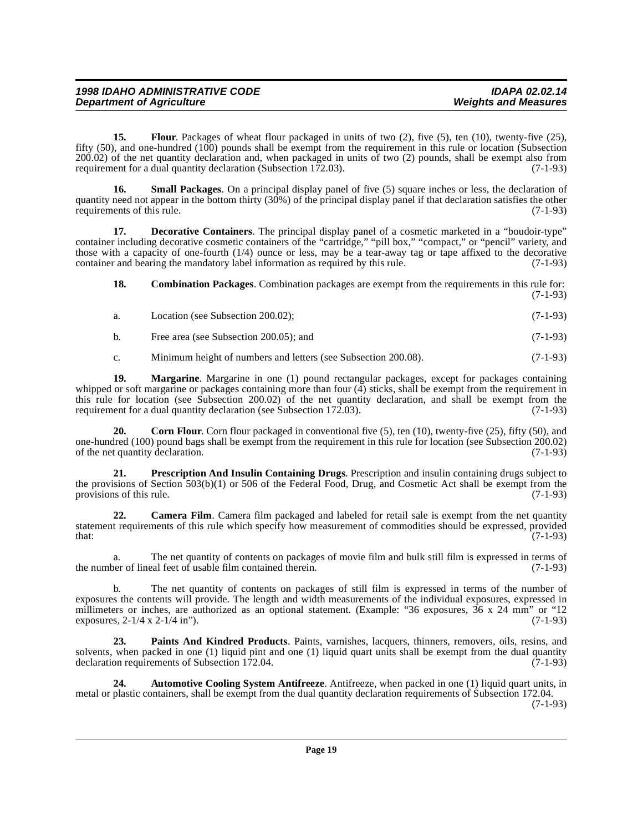<span id="page-18-5"></span>**15. Flour**. Packages of wheat flour packaged in units of two (2), five (5), ten (10), twenty-five (25), fifty (50), and one-hundred (100) pounds shall be exempt from the requirement in this rule or location (Subsection 200.02) of the net quantity declaration and, when packaged in units of two (2) pounds, shall be exempt also from requirement for a dual quantity declaration (Subsection 172.03). (7-1-93)

<span id="page-18-9"></span>**16. Small Packages**. On a principal display panel of five (5) square inches or less, the declaration of quantity need not appear in the bottom thirty (30%) of the principal display panel if that declaration satisfies the other requirements of this rule.

**17. Decorative Containers**. The principal display panel of a cosmetic marketed in a "boudoir-type" container including decorative cosmetic containers of the "cartridge," "pill box," "compact," or "pencil" variety, and those with a capacity of one-fourth (1/4) ounce or less, may be a tear-away tag or tape affixed to the decorative container and bearing the mandatory label information as required by this rule. (7-1-93)

<span id="page-18-4"></span><span id="page-18-2"></span>**18.** Combination Packages. Combination packages are exempt from the requirements in this rule for: (7-1-93)

- a. Location (see Subsection 200.02);  $(7-1-93)$
- b. Free area (see Subsection 200.05); and  $(7-1-93)$

<span id="page-18-6"></span>c. Minimum height of numbers and letters (see Subsection 200.08). (7-1-93)

**19. Margarine**. Margarine in one (1) pound rectangular packages, except for packages containing whipped or soft margarine or packages containing more than four (4) sticks, shall be exempt from the requirement in this rule for location (see Subsection 200.02) of the net quantity declaration, and shall be exempt from the requirement for a dual quantity declaration (see Subsection 172.03). requirement for a dual quantity declaration (see Subsection  $172.03$ ).

<span id="page-18-3"></span>**20.** Corn Flour. Corn flour packaged in conventional five (5), ten (10), twenty-five (25), fifty (50), and one-hundred (100) pound bags shall be exempt from the requirement in this rule for location (see Subsection 200.02) of the net quantity declaration. (7-1-93)

<span id="page-18-8"></span>**21. Prescription And Insulin Containing Drugs**. Prescription and insulin containing drugs subject to the provisions of Section  $503(b)(1)$  or 506 of the Federal Food, Drug, and Cosmetic Act shall be exempt from the provisions of this rule. (7-1-93) provisions of this rule.

<span id="page-18-1"></span>**22. Camera Film**. Camera film packaged and labeled for retail sale is exempt from the net quantity statement requirements of this rule which specify how measurement of commodities should be expressed, provided that: (7-1-93)  $\text{that:} \quad (7-1-93)$ 

a. The net quantity of contents on packages of movie film and bulk still film is expressed in terms of the number of lineal feet of usable film contained therein. (7-1-93)

b. The net quantity of contents on packages of still film is expressed in terms of the number of exposures the contents will provide. The length and width measurements of the individual exposures, expressed in millimeters or inches, are authorized as an optional statement. (Example: "36 exposures, 36 x 24 mm" or "12 exposures,  $2-1/4 \times 2-1/4$  in"). (7-1-93)

<span id="page-18-7"></span>**23. Paints And Kindred Products**. Paints, varnishes, lacquers, thinners, removers, oils, resins, and solvents, when packed in one (1) liquid pint and one (1) liquid quart units shall be exempt from the dual quantity declaration requirements of Subsection 172.04. (7-1-93)

<span id="page-18-0"></span>**24. Automotive Cooling System Antifreeze**. Antifreeze, when packed in one (1) liquid quart units, in metal or plastic containers, shall be exempt from the dual quantity declaration requirements of Subsection 172.04. (7-1-93)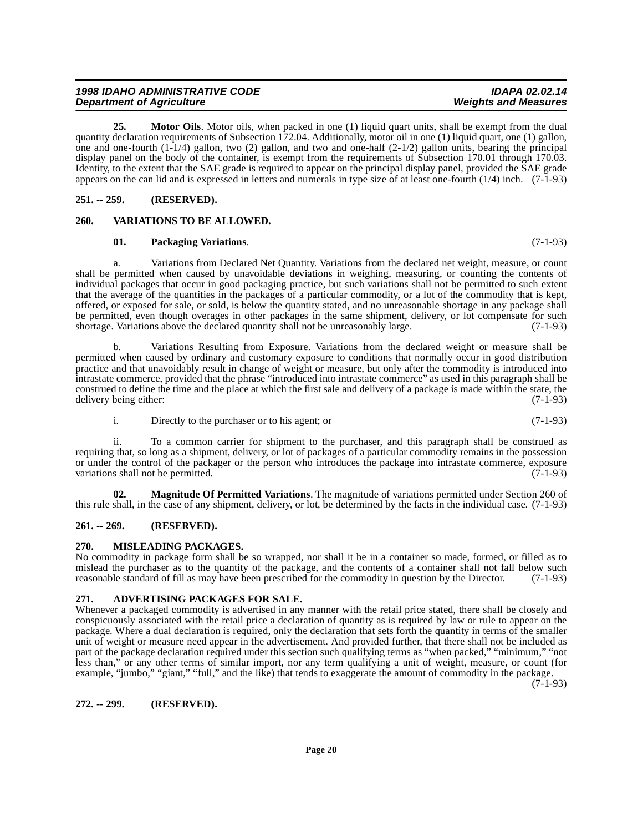### <span id="page-19-11"></span><span id="page-19-10"></span>**01. Packaging Variations**. (7-1-93)

**Department of Agriculture** 

<span id="page-19-1"></span><span id="page-19-0"></span>**251. -- 259. (RESERVED).**

a. Variations from Declared Net Quantity. Variations from the declared net weight, measure, or count shall be permitted when caused by unavoidable deviations in weighing, measuring, or counting the contents of individual packages that occur in good packaging practice, but such variations shall not be permitted to such extent that the average of the quantities in the packages of a particular commodity, or a lot of the commodity that is kept, offered, or exposed for sale, or sold, is below the quantity stated, and no unreasonable shortage in any package shall be permitted, even though overages in other packages in the same shipment, delivery, or lot compensate for such shortage. Variations above the declared quantity shall not be unreasonably large. (7-1-93)

<span id="page-19-9"></span>**25. Motor Oils**. Motor oils, when packed in one (1) liquid quart units, shall be exempt from the dual

quantity declaration requirements of Subsection 172.04. Additionally, motor oil in one (1) liquid quart, one (1) gallon, one and one-fourth (1-1/4) gallon, two (2) gallon, and two and one-half (2-1/2) gallon units, bearing the principal display panel on the body of the container, is exempt from the requirements of Subsection 170.01 through 170.03. Identity, to the extent that the SAE grade is required to appear on the principal display panel, provided the SAE grade appears on the can lid and is expressed in letters and numerals in type size of at least one-fourth (1/4) inch. (7-1-93)

b. Variations Resulting from Exposure. Variations from the declared weight or measure shall be permitted when caused by ordinary and customary exposure to conditions that normally occur in good distribution practice and that unavoidably result in change of weight or measure, but only after the commodity is introduced into intrastate commerce, provided that the phrase "introduced into intrastate commerce" as used in this paragraph shall be construed to define the time and the place at which the first sale and delivery of a package is made within the state, the delivery being either:

<span id="page-19-7"></span>i. Directly to the purchaser or to his agent; or (7-1-93)

ii. To a common carrier for shipment to the purchaser, and this paragraph shall be construed as requiring that, so long as a shipment, delivery, or lot of packages of a particular commodity remains in the possession or under the control of the packager or the person who introduces the package into intrastate commerce, exposure variations shall not be permitted. (7-1-93)

**02. Magnitude Of Permitted Variations**. The magnitude of variations permitted under Section 260 of this rule shall, in the case of any shipment, delivery, or lot, be determined by the facts in the individual case. (7-1-93)

### <span id="page-19-2"></span>**261. -- 269. (RESERVED).**

## <span id="page-19-8"></span><span id="page-19-3"></span>**270. MISLEADING PACKAGES.**

No commodity in package form shall be so wrapped, nor shall it be in a container so made, formed, or filled as to mislead the purchaser as to the quantity of the package, and the contents of a container shall not fall below such reasonable standard of fill as may have been prescribed for the commodity in question by the Director. (7-1-93)

### <span id="page-19-6"></span><span id="page-19-4"></span>**271. ADVERTISING PACKAGES FOR SALE.**

Whenever a packaged commodity is advertised in any manner with the retail price stated, there shall be closely and conspicuously associated with the retail price a declaration of quantity as is required by law or rule to appear on the package. Where a dual declaration is required, only the declaration that sets forth the quantity in terms of the smaller unit of weight or measure need appear in the advertisement. And provided further, that there shall not be included as part of the package declaration required under this section such qualifying terms as "when packed," "minimum," "not less than," or any other terms of similar import, nor any term qualifying a unit of weight, measure, or count (for example, "jumbo," "giant," "full," and the like) that tends to exaggerate the amount of commodity in the package.

(7-1-93)

## <span id="page-19-5"></span>**272. -- 299. (RESERVED).**

# **1998 IDAHO ADMINISTRATIVE CODE IDAPA 02.02.14**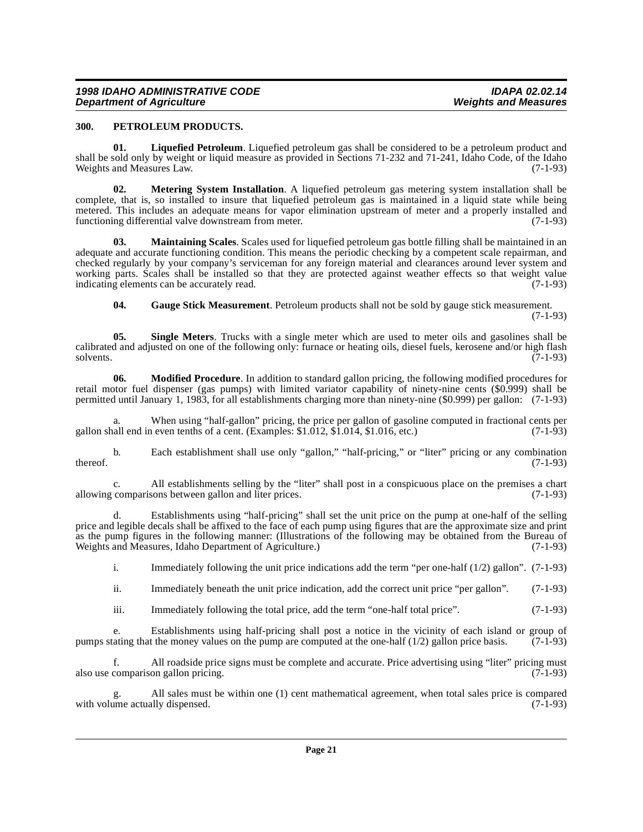### <span id="page-20-6"></span><span id="page-20-0"></span>**300. PETROLEUM PRODUCTS.**

<span id="page-20-2"></span>**01. Liquefied Petroleum**. Liquefied petroleum gas shall be considered to be a petroleum product and shall be sold only by weight or liquid measure as provided in Sections 71-232 and 71-241, Idaho Code, of the Idaho Weights and Measures Law. (7-1-93)

<span id="page-20-4"></span>**02. Metering System Installation**. A liquefied petroleum gas metering system installation shall be complete, that is, so installed to insure that liquefied petroleum gas is maintained in a liquid state while being metered. This includes an adequate means for vapor elimination upstream of meter and a properly installed and functioning differential valve downstream from meter. (7-1-93)

<span id="page-20-3"></span>**03. Maintaining Scales**. Scales used for liquefied petroleum gas bottle filling shall be maintained in an adequate and accurate functioning condition. This means the periodic checking by a competent scale repairman, and checked regularly by your company's serviceman for any foreign material and clearances around lever system and working parts. Scales shall be installed so that they are protected against weather effects so that weight value indicating elements can be accurately read. (7-1-93)

<span id="page-20-7"></span><span id="page-20-5"></span><span id="page-20-1"></span>**04. Gauge Stick Measurement**. Petroleum products shall not be sold by gauge stick measurement.

(7-1-93)

**05. Single Meters**. Trucks with a single meter which are used to meter oils and gasolines shall be calibrated and adjusted on one of the following only: furnace or heating oils, diesel fuels, kerosene and/or high flash solvents. (7-1-93) solvents.  $(7-1-93)$ 

**06. Modified Procedure**. In addition to standard gallon pricing, the following modified procedures for retail motor fuel dispenser (gas pumps) with limited variator capability of ninety-nine cents (\$0.999) shall be permitted until January 1, 1983, for all establishments charging more than ninety-nine (\$0.999) per gallon: (7-1-93)

When using "half-gallon" pricing, the price per gallon of gasoline computed in fractional cents per a even tenths of a cent. (Examples: \$1.012, \$1.014, \$1.016, etc.) (7-1-93) gallon shall end in even tenths of a cent. (Examples:  $$1.012, $1.014, $1.016, etc.$ )

b. Each establishment shall use only "gallon," "half-pricing," or "liter" pricing or any combination thereof.  $(7-1-93)$ 

c. All establishments selling by the "liter" shall post in a conspicuous place on the premises a chart allowing comparisons between gallon and liter prices.

d. Establishments using "half-pricing" shall set the unit price on the pump at one-half of the selling price and legible decals shall be affixed to the face of each pump using figures that are the approximate size and print as the pump figures in the following manner: (Illustrations of the following may be obtained from the Bureau of Weights and Measures, Idaho Department of Agriculture.) (7-1-93)

i. Immediately following the unit price indications add the term "per one-half (1/2) gallon". (7-1-93)

ii. Immediately beneath the unit price indication, add the correct unit price "per gallon". (7-1-93)

iii. Immediately following the total price, add the term "one-half total price". (7-1-93)

e. Establishments using half-pricing shall post a notice in the vicinity of each island or group of ating that the money values on the pump are computed at the one-half  $(1/2)$  gallon price basis.  $(7-1-93)$ pumps stating that the money values on the pump are computed at the one-half  $(1/2)$  gallon price basis.

f. All roadside price signs must be complete and accurate. Price advertising using "liter" pricing must also use comparison gallon pricing. (7-1-93)

All sales must be within one (1) cent mathematical agreement, when total sales price is compared  $(7-1-93)$ with volume actually dispensed.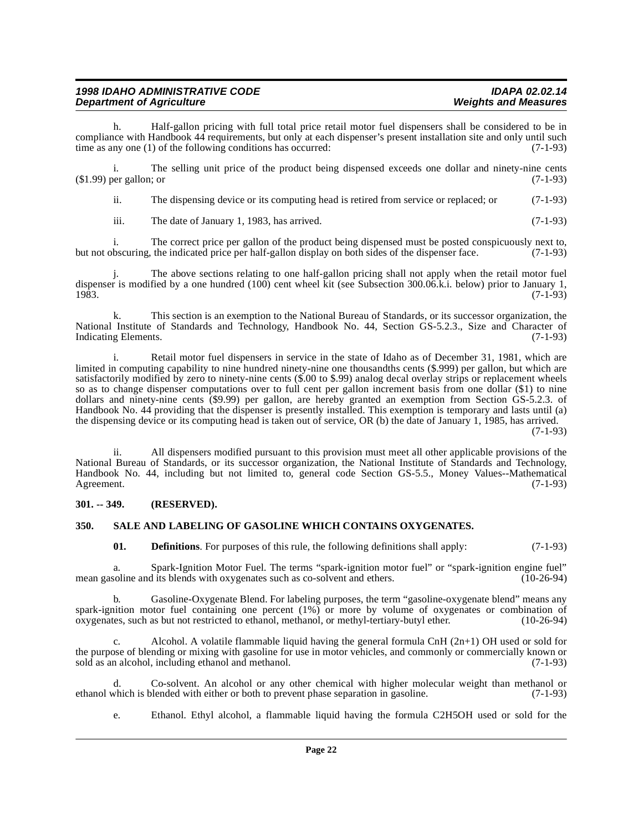| <b>1998 IDAHO ADMINISTRATIVE CODE</b> | <b>IDAPA 02.02.14</b>       |
|---------------------------------------|-----------------------------|
| <b>Department of Agriculture</b>      | <b>Weights and Measures</b> |

h. Half-gallon pricing with full total price retail motor fuel dispensers shall be considered to be in compliance with Handbook 44 requirements, but only at each dispenser's present installation site and only until such time as any one (1) of the following conditions has occurred: (7-1-93)

i. The selling unit price of the product being dispensed exceeds one dollar and ninety-nine cents (\$1.99) per gallon; or (7-1-93)

ii. The dispensing device or its computing head is retired from service or replaced; or (7-1-93)

iii. The date of January 1, 1983, has arrived.  $(7-1-93)$ 

i. The correct price per gallon of the product being dispensed must be posted conspicuously next to, bscuring, the indicated price per half-gallon display on both sides of the dispenser face. (7-1-93) but not obscuring, the indicated price per half-gallon display on both sides of the dispenser face.

j. The above sections relating to one half-gallon pricing shall not apply when the retail motor fuel dispenser is modified by a one hundred (100) cent wheel kit (see Subsection 300.06.k.i. below) prior to January 1, 1983. 1983. (7-1-93)

k. This section is an exemption to the National Bureau of Standards, or its successor organization, the National Institute of Standards and Technology, Handbook No. 44, Section GS-5.2.3., Size and Character of Indicating Elements. (7-1-93) Indicating Elements.

i. Retail motor fuel dispensers in service in the state of Idaho as of December 31, 1981, which are limited in computing capability to nine hundred ninety-nine one thousandths cents (\$.999) per gallon, but which are satisfactorily modified by zero to ninety-nine cents (\$.00 to \$.99) analog decal overlay strips or replacement wheels so as to change dispenser computations over to full cent per gallon increment basis from one dollar (\$1) to nine dollars and ninety-nine cents (\$9.99) per gallon, are hereby granted an exemption from Section GS-5.2.3. of Handbook No. 44 providing that the dispenser is presently installed. This exemption is temporary and lasts until (a) the dispensing device or its computing head is taken out of service, OR (b) the date of January 1, 1985, has arrived.  $(7-1-93)$ 

ii. All dispensers modified pursuant to this provision must meet all other applicable provisions of the National Bureau of Standards, or its successor organization, the National Institute of Standards and Technology, Handbook No. 44, including but not limited to, general code Section GS-5.5., Money Values--Mathematical Agreement. (7-1-93)

### <span id="page-21-0"></span>**301. -- 349. (RESERVED).**

### <span id="page-21-1"></span>**350. SALE AND LABELING OF GASOLINE WHICH CONTAINS OXYGENATES.**

<span id="page-21-2"></span>**01. Definitions**. For purposes of this rule, the following definitions shall apply: (7-1-93)

a. Spark-Ignition Motor Fuel. The terms "spark-ignition motor fuel" or "spark-ignition engine fuel" soline and its blends with oxygenates such as co-solvent and ethers. (10-26-94) mean gasoline and its blends with oxygenates such as co-solvent and ethers.

b. Gasoline-Oxygenate Blend. For labeling purposes, the term "gasoline-oxygenate blend" means any spark-ignition motor fuel containing one percent (1%) or more by volume of oxygenates or combination of oxygenates, such as but not restricted to ethanol, methanol, or methyl-tertiary-butyl ether. (10-26-94)

Alcohol. A volatile flammable liquid having the general formula CnH  $(2n+1)$  OH used or sold for the purpose of blending or mixing with gasoline for use in motor vehicles, and commonly or commercially known or sold as an alcohol, including ethanol and methanol. (7-1-93)

d. Co-solvent. An alcohol or any other chemical with higher molecular weight than methanol or which is blended with either or both to prevent phase separation in gasoline. (7-1-93) ethanol which is blended with either or both to prevent phase separation in gasoline.

e. Ethanol. Ethyl alcohol, a flammable liquid having the formula C2H5OH used or sold for the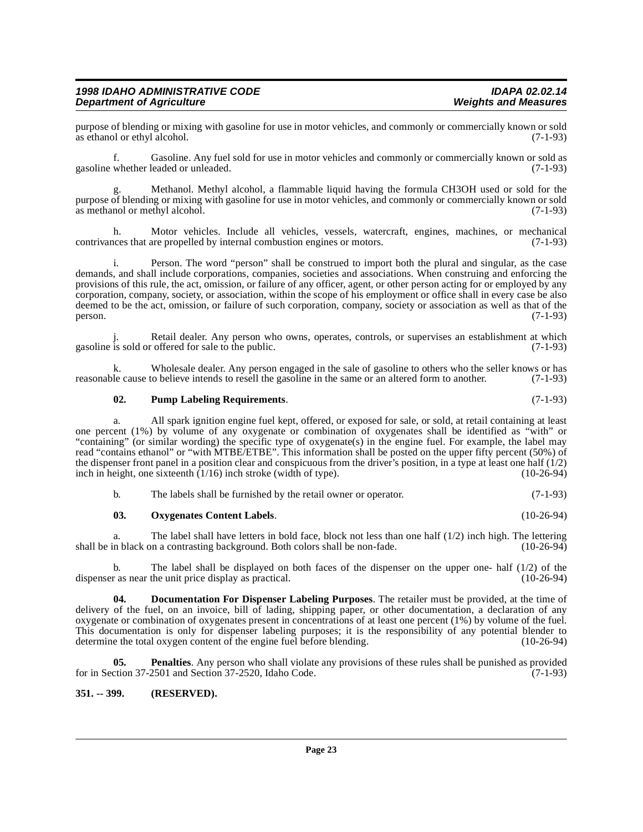purpose of blending or mixing with gasoline for use in motor vehicles, and commonly or commercially known or sold<br>as ethanol or ethyl alcohol. (7-1-93) as ethanol or ethyl alcohol.

f. Gasoline. Any fuel sold for use in motor vehicles and commonly or commercially known or sold as gasoline whether leaded or unleaded. (7-1-93)

Methanol. Methyl alcohol, a flammable liquid having the formula CH3OH used or sold for the purpose of blending or mixing with gasoline for use in motor vehicles, and commonly or commercially known or sold as methanol or methyl alcohol.

h. Motor vehicles. Include all vehicles, vessels, watercraft, engines, machines, or mechanical ness that are propelled by internal combustion engines or motors. (7-1-93) contrivances that are propelled by internal combustion engines or motors.

i. Person. The word "person" shall be construed to import both the plural and singular, as the case demands, and shall include corporations, companies, societies and associations. When construing and enforcing the provisions of this rule, the act, omission, or failure of any officer, agent, or other person acting for or employed by any corporation, company, society, or association, within the scope of his employment or office shall in every case be also deemed to be the act, omission, or failure of such corporation, company, society or association as well as that of the person. (7-1-93)  $person.$  (7-1-93)

Retail dealer. Any person who owns, operates, controls, or supervises an establishment at which offered for sale to the public. (7-1-93) gasoline is sold or offered for sale to the public.

k. Wholesale dealer. Any person engaged in the sale of gasoline to others who the seller knows or has reasonable cause to believe intends to resell the gasoline in the same or an altered form to another. (7-1-93)

### <span id="page-22-4"></span>**02. Pump Labeling Requirements**. (7-1-93)

a. All spark ignition engine fuel kept, offered, or exposed for sale, or sold, at retail containing at least one percent (1%) by volume of any oxygenate or combination of oxygenates shall be identified as "with" or "containing" (or similar wording) the specific type of oxygenate(s) in the engine fuel. For example, the label may read "contains ethanol" or "with MTBE/ETBE". This information shall be posted on the upper fifty percent (50%) of the dispenser front panel in a position clear and conspicuous from the driver's position, in a type at least one half  $(1/2)$ inch in height, one sixteenth  $(1/16)$  inch stroke (width of type). (10-26-94)

<span id="page-22-2"></span>

| b. | The labels shall be furnished by the retail owner or operator. | $(7-1-93)$ |
|----|----------------------------------------------------------------|------------|
|    |                                                                |            |

#### **03. Oxygenates Content Labels**. (10-26-94)

a. The label shall have letters in bold face, block not less than one half  $(1/2)$  inch high. The lettering shall be in black on a contrasting background. Both colors shall be non-fade. (10-26-94)

b. The label shall be displayed on both faces of the dispenser on the upper one- half  $(1/2)$  of the r as near the unit price display as practical.  $(10-26-94)$ dispenser as near the unit price display as practical.

<span id="page-22-1"></span>**04. Documentation For Dispenser Labeling Purposes**. The retailer must be provided, at the time of delivery of the fuel, on an invoice, bill of lading, shipping paper, or other documentation, a declaration of any oxygenate or combination of oxygenates present in concentrations of at least one percent (1%) by volume of the fuel. This documentation is only for dispenser labeling purposes; it is the responsibility of any potential blender to determine the total oxygen content of the engine fuel before blending. (10-26-94) determine the total oxygen content of the engine fuel before blending.

<span id="page-22-3"></span>**05. Penalties**. Any person who shall violate any provisions of these rules shall be punished as provided for in Section 37-2501 and Section 37-2520, Idaho Code.  $(7-1-93)$ 

### <span id="page-22-0"></span>**351. -- 399. (RESERVED).**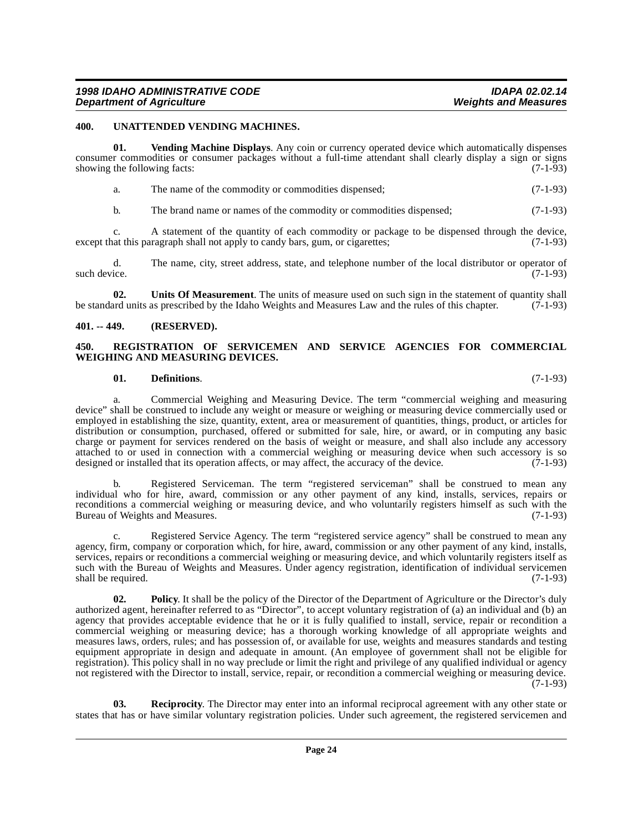### <span id="page-23-6"></span><span id="page-23-0"></span>**400. UNATTENDED VENDING MACHINES.**

**01. Vending Machine Displays**. Any coin or currency operated device which automatically dispenses consumer commodities or consumer packages without a full-time attendant shall clearly display a sign or signs showing the following facts:  $(7-1-93)$ 

<span id="page-23-8"></span>

| The name of the commodity or commodities dispensed: | $(7-1-93)$ |
|-----------------------------------------------------|------------|
|                                                     |            |

b. The brand name or names of the commodity or commodities dispensed; (7-1-93)

c. A statement of the quantity of each commodity or package to be dispensed through the device,<br>at this paragraph shall not apply to candy bars, gum, or cigarettes; (7-1-93) except that this paragraph shall not apply to candy bars, gum, or cigarettes;

d. The name, city, street address, state, and telephone number of the local distributor or operator of such device.  $(7-1-93)$ 

<span id="page-23-7"></span>**02.** Units Of Measurement. The units of measure used on such sign in the statement of quantity shall and units as prescribed by the Idaho Weights and Measures Law and the rules of this chapter. (7-1-93) be standard units as prescribed by the Idaho Weights and Measures Law and the rules of this chapter.

### <span id="page-23-1"></span>**401. -- 449. (RESERVED).**

### <span id="page-23-5"></span><span id="page-23-2"></span>**450. REGISTRATION OF SERVICEMEN AND SERVICE AGENCIES FOR COMMERCIAL WEIGHING AND MEASURING DEVICES.**

### **01. Definitions**. (7-1-93)

a. Commercial Weighing and Measuring Device. The term "commercial weighing and measuring device" shall be construed to include any weight or measure or weighing or measuring device commercially used or employed in establishing the size, quantity, extent, area or measurement of quantities, things, product, or articles for distribution or consumption, purchased, offered or submitted for sale, hire, or award, or in computing any basic charge or payment for services rendered on the basis of weight or measure, and shall also include any accessory attached to or used in connection with a commercial weighing or measuring device when such accessory is so designed or installed that its operation affects, or may affect, the accuracy of the device. (7-1-93) designed or installed that its operation affects, or may affect, the accuracy of the device.

b. Registered Serviceman. The term "registered serviceman" shall be construed to mean any individual who for hire, award, commission or any other payment of any kind, installs, services, repairs or reconditions a commercial weighing or measuring device, and who voluntarily registers himself as such with the Bureau of Weights and Measures. (7-1-93)

Registered Service Agency. The term "registered service agency" shall be construed to mean any agency, firm, company or corporation which, for hire, award, commission or any other payment of any kind, installs, services, repairs or reconditions a commercial weighing or measuring device, and which voluntarily registers itself as such with the Bureau of Weights and Measures. Under agency registration, identification of individual servicemen shall be required. (7-1-93) shall be required.

<span id="page-23-3"></span>**Policy**. It shall be the policy of the Director of the Department of Agriculture or the Director's duly authorized agent, hereinafter referred to as "Director", to accept voluntary registration of (a) an individual and (b) an agency that provides acceptable evidence that he or it is fully qualified to install, service, repair or recondition a commercial weighing or measuring device; has a thorough working knowledge of all appropriate weights and measures laws, orders, rules; and has possession of, or available for use, weights and measures standards and testing equipment appropriate in design and adequate in amount. (An employee of government shall not be eligible for registration). This policy shall in no way preclude or limit the right and privilege of any qualified individual or agency not registered with the Director to install, service, repair, or recondition a commercial weighing or measuring device. (7-1-93)

<span id="page-23-4"></span>**03. Reciprocity**. The Director may enter into an informal reciprocal agreement with any other state or states that has or have similar voluntary registration policies. Under such agreement, the registered servicemen and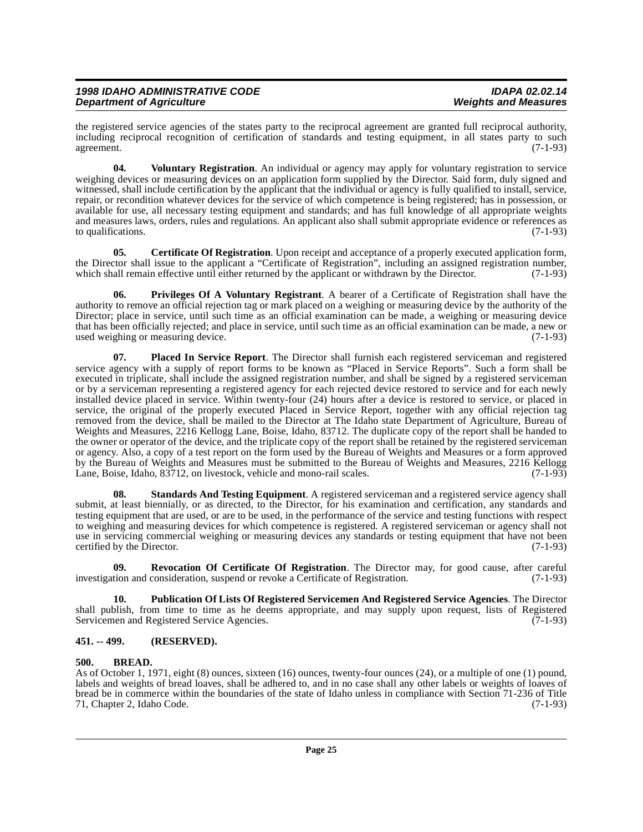the registered service agencies of the states party to the reciprocal agreement are granted full reciprocal authority, including reciprocal recognition of certification of standards and testing equipment, in all states party to such agreement. (7-1-93) agreement. (7-1-93)

<span id="page-24-9"></span>**04. Voluntary Registration**. An individual or agency may apply for voluntary registration to service weighing devices or measuring devices on an application form supplied by the Director. Said form, duly signed and witnessed, shall include certification by the applicant that the individual or agency is fully qualified to install, service, repair, or recondition whatever devices for the service of which competence is being registered; has in possession, or available for use, all necessary testing equipment and standards; and has full knowledge of all appropriate weights and measures laws, orders, rules and regulations. An applicant also shall submit appropriate evidence or references as to qualifications. (7-1-93) to qualifications.

<span id="page-24-3"></span>**05. Certificate Of Registration**. Upon receipt and acceptance of a properly executed application form, the Director shall issue to the applicant a "Certificate of Registration", including an assigned registration number, which shall remain effective until either returned by the applicant or withdrawn by the Director. (7-1-93)

<span id="page-24-5"></span>**06. Privileges Of A Voluntary Registrant**. A bearer of a Certificate of Registration shall have the authority to remove an official rejection tag or mark placed on a weighing or measuring device by the authority of the Director; place in service, until such time as an official examination can be made, a weighing or measuring device that has been officially rejected; and place in service, until such time as an official examination can be made, a new or<br>(7-1-93) used weighing or measuring device.

<span id="page-24-4"></span>**07. Placed In Service Report**. The Director shall furnish each registered serviceman and registered service agency with a supply of report forms to be known as "Placed in Service Reports". Such a form shall be executed in triplicate, shall include the assigned registration number, and shall be signed by a registered serviceman or by a serviceman representing a registered agency for each rejected device restored to service and for each newly installed device placed in service. Within twenty-four (24) hours after a device is restored to service, or placed in service, the original of the properly executed Placed in Service Report, together with any official rejection tag removed from the device, shall be mailed to the Director at The Idaho state Department of Agriculture, Bureau of Weights and Measures, 2216 Kellogg Lane, Boise, Idaho, 83712. The duplicate copy of the report shall be handed to the owner or operator of the device, and the triplicate copy of the report shall be retained by the registered serviceman or agency. Also, a copy of a test report on the form used by the Bureau of Weights and Measures or a form approved by the Bureau of Weights and Measures must be submitted to the Bureau of Weights and Measures, 2216 Kellogg Lane, Boise, Idaho, 83712, on livestock, vehicle and mono-rail scales. (7-1-93)

<span id="page-24-8"></span>**08.** Standards And Testing Equipment. A registered serviceman and a registered service agency shall submit, at least biennially, or as directed, to the Director, for his examination and certification, any standards and testing equipment that are used, or are to be used, in the performance of the service and testing functions with respect to weighing and measuring devices for which competence is registered. A registered serviceman or agency shall not use in servicing commercial weighing or measuring devices any standards or testing equipment that have not been certified by the Director. (7-1-93)

<span id="page-24-7"></span>**09. Revocation Of Certificate Of Registration**. The Director may, for good cause, after careful investigation and consideration, suspend or revoke a Certificate of Registration. (7-1-93)

<span id="page-24-6"></span>**10. Publication Of Lists Of Registered Servicemen And Registered Service Agencies**. The Director shall publish, from time to time as he deems appropriate, and may supply upon request, lists of Registered Servicemen and Registered Service Agencies. (7-1-93)

### <span id="page-24-0"></span>**451. -- 499. (RESERVED).**

### <span id="page-24-2"></span><span id="page-24-1"></span>**500. BREAD.**

As of October 1, 1971, eight (8) ounces, sixteen (16) ounces, twenty-four ounces (24), or a multiple of one (1) pound, labels and weights of bread loaves, shall be adhered to, and in no case shall any other labels or weights of loaves of bread be in commerce within the boundaries of the state of Idaho unless in compliance with Section 71-236 of Title 71, Chapter 2, Idaho Code.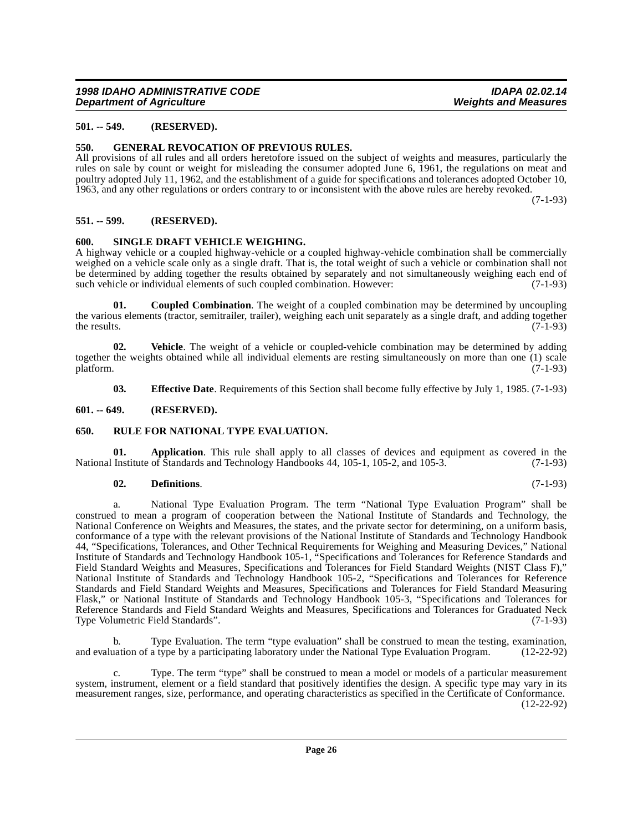### <span id="page-25-0"></span>**501. -- 549. (RESERVED).**

### <span id="page-25-9"></span><span id="page-25-1"></span>**550. GENERAL REVOCATION OF PREVIOUS RULES.**

All provisions of all rules and all orders heretofore issued on the subject of weights and measures, particularly the rules on sale by count or weight for misleading the consumer adopted June 6, 1961, the regulations on meat and poultry adopted July 11, 1962, and the establishment of a guide for specifications and tolerances adopted October 10, 1963, and any other regulations or orders contrary to or inconsistent with the above rules are hereby revoked.

(7-1-93)

### <span id="page-25-2"></span>**551. -- 599. (RESERVED).**

### <span id="page-25-11"></span><span id="page-25-3"></span>**600. SINGLE DRAFT VEHICLE WEIGHING.**

A highway vehicle or a coupled highway-vehicle or a coupled highway-vehicle combination shall be commercially weighed on a vehicle scale only as a single draft. That is, the total weight of such a vehicle or combination shall not be determined by adding together the results obtained by separately and not simultaneously weighing each end of such vehicle or individual elements of such coupled combination. However: (7-1-93)

<span id="page-25-7"></span>**01.** Coupled Combination. The weight of a coupled combination may be determined by uncoupling the various elements (tractor, semitrailer, trailer), weighing each unit separately as a single draft, and adding together the results.  $(7-1-93)$ 

**02. Vehicle**. The weight of a vehicle or coupled-vehicle combination may be determined by adding together the weights obtained while all individual elements are resting simultaneously on more than one (1) scale platform. (7-1-93)  $\mu$  platform. (7-1-93)

<span id="page-25-12"></span><span id="page-25-10"></span><span id="page-25-8"></span>**03. Effective Date**. Requirements of this Section shall become fully effective by July 1, 1985. (7-1-93)

### <span id="page-25-4"></span>**601. -- 649. (RESERVED).**

### <span id="page-25-5"></span>**650. RULE FOR NATIONAL TYPE EVALUATION.**

**01. Application**. This rule shall apply to all classes of devices and equipment as covered in the Institute of Standards and Technology Handbooks 44, 105-1, 105-2, and 105-3. (7-1-93) National Institute of Standards and Technology Handbooks 44, 105-1, 105-2, and 105-3.

### <span id="page-25-6"></span>**02. Definitions**. (7-1-93)

a. National Type Evaluation Program. The term "National Type Evaluation Program" shall be construed to mean a program of cooperation between the National Institute of Standards and Technology, the National Conference on Weights and Measures, the states, and the private sector for determining, on a uniform basis, conformance of a type with the relevant provisions of the National Institute of Standards and Technology Handbook 44, "Specifications, Tolerances, and Other Technical Requirements for Weighing and Measuring Devices," National Institute of Standards and Technology Handbook 105-1, "Specifications and Tolerances for Reference Standards and Field Standard Weights and Measures, Specifications and Tolerances for Field Standard Weights (NIST Class F)," National Institute of Standards and Technology Handbook 105-2, "Specifications and Tolerances for Reference Standards and Field Standard Weights and Measures, Specifications and Tolerances for Field Standard Measuring Flask," or National Institute of Standards and Technology Handbook 105-3, "Specifications and Tolerances for Reference Standards and Field Standard Weights and Measures, Specifications and Tolerances for Graduated Neck Type Volumetric Field Standards". (7-1-93)

b. Type Evaluation. The term "type evaluation" shall be construed to mean the testing, examination, under the National Type Evaluation Program. (12-22-92) and evaluation of a type by a participating laboratory under the National Type Evaluation Program.

c. Type. The term "type" shall be construed to mean a model or models of a particular measurement system, instrument, element or a field standard that positively identifies the design. A specific type may vary in its measurement ranges, size, performance, and operating characteristics as specified in the Certificate of Conformance. (12-22-92)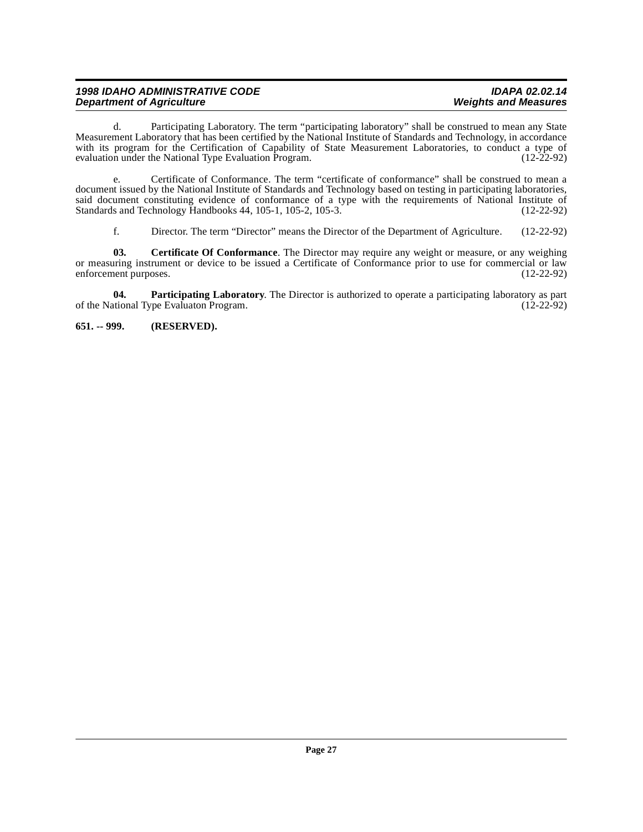### **1998 IDAHO ADMINISTRATIVE CODE IDAPA 02.02.14 Department of Agriculture**

d. Participating Laboratory. The term "participating laboratory" shall be construed to mean any State Measurement Laboratory that has been certified by the National Institute of Standards and Technology, in accordance with its program for the Certification of Capability of State Measurement Laboratories, to conduct a type of evaluation under the National Type Evaluation Program. (12-22-92) evaluation under the National Type Evaluation Program.

e. Certificate of Conformance. The term "certificate of conformance" shall be construed to mean a document issued by the National Institute of Standards and Technology based on testing in participating laboratories, said document constituting evidence of conformance of a type with the requirements of National Institute of Standards and Technology Handbooks 44, 105-1, 105-2, 105-3. (12-22-92) Standards and Technology Handbooks 44, 105-1, 105-2, 105-3.

<span id="page-26-2"></span><span id="page-26-1"></span>f. Director. The term "Director" means the Director of the Department of Agriculture. (12-22-92)

**03. Certificate Of Conformance**. The Director may require any weight or measure, or any weighing or measuring instrument or device to be issued a Certificate of Conformance prior to use for commercial or law enforcement purposes. (12-22-92)

**04. Participating Laboratory**. The Director is authorized to operate a participating laboratory as participational Type Evaluaton Program. (12-22-92) of the National Type Evaluaton Program.

<span id="page-26-0"></span>**651. -- 999. (RESERVED).**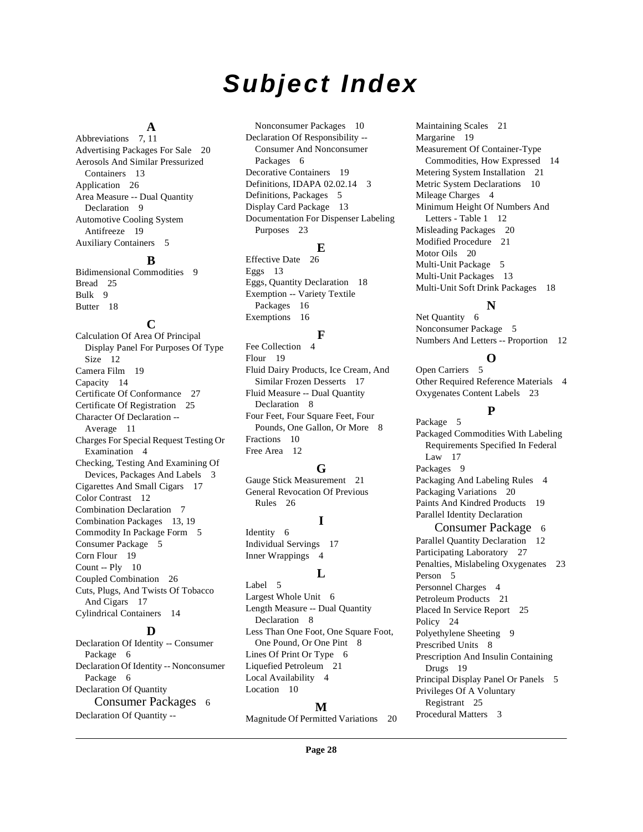# **Subject Index**

### **A**

Abbreviations [7](#page-6-0), [11](#page-10-2) Advertising Packages For Sale [20](#page-19-6) Aerosols And Similar Pressurized Containers [13](#page-12-4) Application [26](#page-25-6) Area Measure -- Dual Quantity Declaration [9](#page-8-1) Automotive Cooling System Antifreeze [19](#page-18-0) Auxiliary Containers [5](#page-4-1)

#### **B**

Bidimensional Commodities [9](#page-8-2) Bread [25](#page-24-2) Bulk [9](#page-8-3) Butter [18](#page-17-0)

### **C**

Calculation Of Area Of Principal Display Panel For Purposes Of Type Size [12](#page-11-0) Camera Film [19](#page-18-1) Capacity [14](#page-13-3) Certificate Of Conformance [27](#page-26-1) Certificate Of Registration [25](#page-24-3) Character Of Declaration -- Average [11](#page-10-3) Charges For Special Request Testing Or Examination [4](#page-3-4) Checking, Testing And Examining Of Devices, Packages And Labels [3](#page-2-10) Cigarettes And Small Cigars [17](#page-16-0) Color Contrast [12](#page-11-1) Combination Declaration [7](#page-6-1) Combination Packages [13,](#page-12-5) [19](#page-18-2) Commodity In Package Form [5](#page-4-2) Consumer Package [5](#page-4-3) Corn Flour [19](#page-18-3) Count -- Ply [10](#page-9-3) Coupled Combination [26](#page-25-7) Cuts, Plugs, And Twists Of Tobacco And Cigars [17](#page-16-1) Cylindrical Containers [14](#page-13-4)

### **D**

Declaration Of Identity -- Consumer Package [6](#page-5-3) Declaration Of Identity -- Nonconsumer Package [6](#page-5-4) Declaration Of Quantity Consumer Packages [6](#page-5-5) Declaration Of Quantity --

Nonconsumer Packages [10](#page-9-4) Declaration Of Responsibility -- Consumer And Nonconsumer Packages [6](#page-5-6) Decorative Containers [19](#page-18-4) Definitions, IDAPA 02.02.14 [3](#page-2-11) Definitions, Packages [5](#page-4-4) Display Card Package [13](#page-12-6) Documentation For Dispenser Labeling Purposes [23](#page-22-1)

### **E**

Effective Date [26](#page-25-8) Eggs [13](#page-12-7) Eggs, Quantity Declaration [18](#page-17-1) Exemption -- Variety Textile Packages [16](#page-15-2) Exemptions [16](#page-15-3)

### **F**

Fee Collection [4](#page-3-5) Flour [19](#page-18-5) Fluid Dairy Products, Ice Cream, And Similar Frozen Desserts [17](#page-16-2) Fluid Measure -- Dual Quantity Declaration [8](#page-7-1) Four Feet, Four Square Feet, Four Pounds, One Gallon, Or More [8](#page-7-2) Fractions [10](#page-9-5) Free Area [12](#page-11-2)

### **G**

Gauge Stick Measurement [21](#page-20-1) General Revocation Of Previous Rules [26](#page-25-9)

### **I**

Identity [6](#page-5-7) Individual Servings [17](#page-16-3) Inner Wrappings [4](#page-3-6)

### **L**

Label [5](#page-4-5) Largest Whole Unit [6](#page-5-8) Length Measure -- Dual Quantity Declaration [8](#page-7-3) Less Than One Foot, One Square Foot, One Pound, Or One Pint [8](#page-7-4) Lines Of Print Or Type [6](#page-5-9) Liquefied Petroleum [21](#page-20-2) Local Availability [4](#page-3-7) Location [10](#page-9-6)

### **M**

Magnitude Of Permitted Variations [20](#page-19-7)

Maintaining Scales [21](#page-20-3) Margarine [19](#page-18-6) Measurement Of Container-Type Commodities, How Expressed [14](#page-13-5) Metering System Installation [21](#page-20-4) Metric System Declarations [10](#page-9-7) Mileage Charges [4](#page-3-8) Minimum Height Of Numbers And Letters - Table 1 [12](#page-11-3) Misleading Packages [20](#page-19-8) Modified Procedure [21](#page-20-5) Motor Oils [20](#page-19-9) Multi-Unit Package [5](#page-4-6) Multi-Unit Packages [13](#page-12-8) Multi-Unit Soft Drink Packages [18](#page-17-2)

### **N**

Net Quantity [6](#page-5-10) Nonconsumer Package [5](#page-4-7) Numbers And Letters -- Proportion [12](#page-11-4)

### **O**

Open Carriers [5](#page-4-8) Other Required Reference Materials [4](#page-3-9) Oxygenates Content Labels [23](#page-22-2)

### **P**

Package [5](#page-4-9) Packaged Commodities With Labeling Requirements Specified In Federal Law [17](#page-16-4) Packages [9](#page-8-4) Packaging And Labeling Rules [4](#page-3-10) Packaging Variations [20](#page-19-10) Paints And Kindred Products [19](#page-18-7) Parallel Identity Declaration Consumer Package [6](#page-5-11)

Parallel Quantity Declaration [12](#page-11-5) Participating Laboratory [27](#page-26-2) Penalties, Mislabeling Oxygenates [23](#page-22-3) Person [5](#page-4-10) Personnel Charges [4](#page-3-11) Petroleum Products [21](#page-20-6) Placed In Service Report [25](#page-24-4) Policy [24](#page-23-3) Polyethylene Sheeting [9](#page-8-5) Prescribed Units [8](#page-7-5) Prescription And Insulin Containing Drugs [19](#page-18-8) Principal Display Panel Or Panels [5](#page-4-11) Privileges Of A Voluntary Registrant [25](#page-24-5) Procedural Matters [3](#page-2-12)